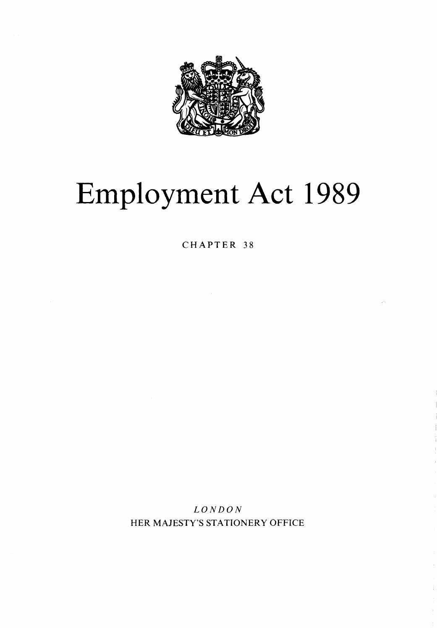

# Employment Act 1989

CHAPTER 38

LONDON HER MAJESTY'S STATIONERY OFFICE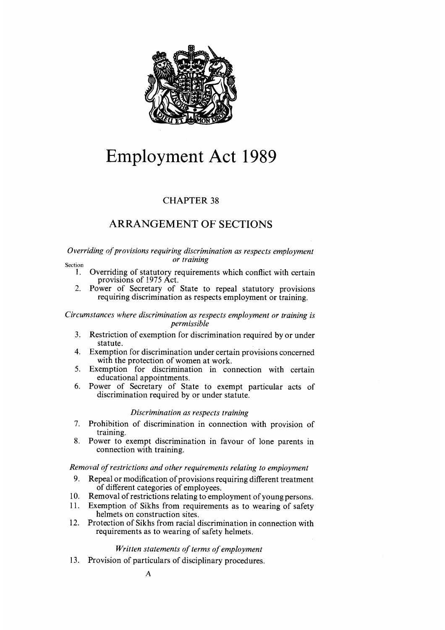

## Employment Act 1989

## CHAPTER 38

## ARRANGEMENT OF SECTIONS

Overriding of provisions requiring discrimination as respects employment or training

- Section
	- 1. Overriding of statutory requirements which conflict with certain provisions of 1975 Act.
	- 2. Power of Secretary of State to repeal statutory provisions requiring discrimination as respects employment or training.

Circumstances where discrimination as respects employment or training is permissible

- 3. Restriction of exemption for discrimination required by or under statute.
- 4. Exemption for discrimination under certain provisions concerned with the protection of women at work.
- 5. Exemption for discrimination in connection with certain educational appointments.
- 6. Power of Secretary of State to exempt particular acts of discrimination required by or under statute.

## Discrimination as respects training

- 7. Prohibition of discrimination in connection with provision of training.
- 8. Power to exempt discrimination in favour of lone parents in connection with training.

## Removal of restrictions and other requirements relating to employment

- 9. Repeal or modification of provisions requiring different treatment of different categories of employees.
- 10. Removal of restrictions relating to employment of young persons.
- 11. Exemption of Sikhs from requirements as to wearing of safety helmets on construction sites.
- 12. Protection of Sikhs from racial discrimination in connection with requirements as to wearing of safety helmets.

## Written statements of terms of employment

13. Provision of particulars of disciplinary procedures.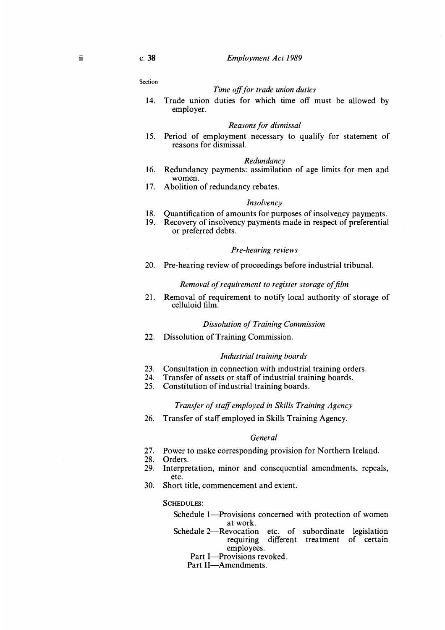Section

## Time off for trade union duties

14. Trade union duties for which time off must be allowed by employer.

#### Reasons for dismissal

15. Period of employment necessary to qualify for statement of reasons for dismissal.

#### Redundancy

- 16. Redundancy payments: assimilation of age limits for men and women.
- 17. Abolition of redundancy rebates.

#### **Insolvency**

- 18. Quantification of amounts for purposes of insolvency payments.
- 19. Recovery of insolvency payments made in respect of preferential or preferred debts.

#### Pre-hearing reviews

20. Pre-hearing review of proceedings before industrial tribunal.

#### Removal of requirement to register storage of film

21. Removal of requirement to notify local authority of storage of celluloid film.

## Dissolution of Training Commission

22. Dissolution of Training Commission.

## Industrial training boards

- 23. Consultation in connection with industrial training orders.<br>24. Transfer of assets or staff of industrial training boards.
- 24. Transfer of assets or staff of industrial training boards.<br>25. Constitution of industrial training boards.
- Constitution of industrial training boards.

#### Transfer of staff employed in Skills Training Agency

26. Transfer of staff employed in Skills Training Agency.

#### General

- 27. Power to make corresponding provision for Northern Ireland.
- 28. Orders.
- 29. Interpretation, minor and consequential amendments, repeals, etc.
- 30. Short title, commencement and extent.

#### SCHEDULES:

Schedule 1—Provisions concerned with protection of women at work.

- Schedule 2—Revocation etc. of subordinate legislation requiring different treatment of certain employees.
	- Part I—Provisions revoked.

Part Il—Amendments.

ii.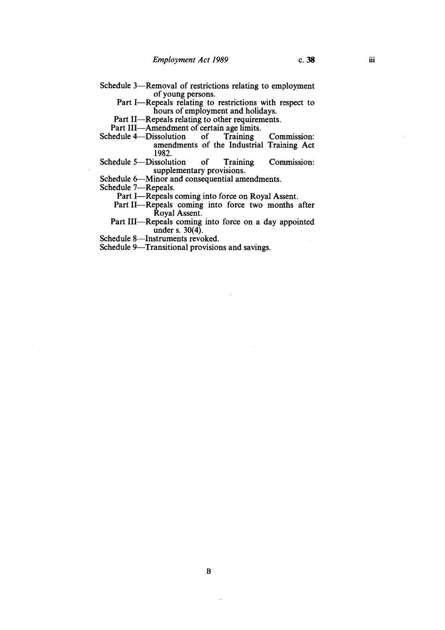- Schedule 3—Removal of restrictions relating to employment of young persons.
	- Part I—Repeals relating to restrictions with respect to hours of employment and holidays.
	- Part Il—Repeals relating to other requirements.

Part III—Amendment of certain age limits.<br>hedule 4—Dissolution of Training

- Schedule 4—Dissolution of Training Commission: amendments of the Industrial Training Act 1982.
- Schedule 5—Dissolution of Training Commission: supplementary provisions.

Schedule 6—Minor and consequential amendments.

Schedule 7—Repeals.

Part I—Repeals coming into force on Royal Assent.

- Part II—Repeals coming into force two months after Royal Assent.
- Part Ill—Repeals coming into force on a day appointed under s.  $30(4)$ .

Schedule 8—Instruments revoked.

Schedule 9—Transitional provisions and savings.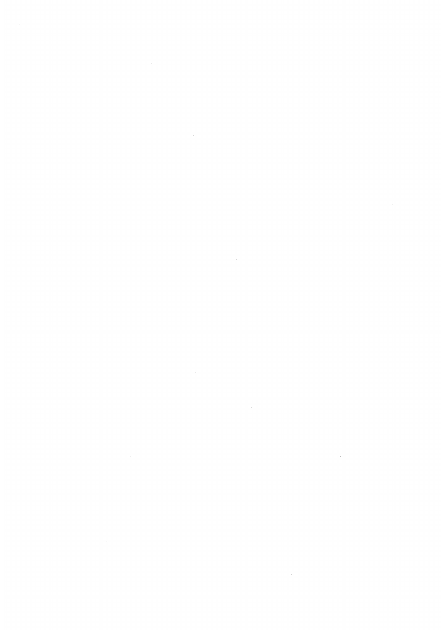$\label{eq:2.1} \frac{1}{\sqrt{2}}\left(\frac{1}{\sqrt{2}}\right)^{2} \left(\frac{1}{\sqrt{2}}\right)^{2} \left(\frac{1}{\sqrt{2}}\right)^{2} \left(\frac{1}{\sqrt{2}}\right)^{2} \left(\frac{1}{\sqrt{2}}\right)^{2} \left(\frac{1}{\sqrt{2}}\right)^{2} \left(\frac{1}{\sqrt{2}}\right)^{2} \left(\frac{1}{\sqrt{2}}\right)^{2} \left(\frac{1}{\sqrt{2}}\right)^{2} \left(\frac{1}{\sqrt{2}}\right)^{2} \left(\frac{1}{\sqrt{2}}\right)^{2} \left(\$ 

 $\label{eq:2.1} \frac{1}{\sqrt{2}}\int_{\mathbb{R}^3}\frac{1}{\sqrt{2}}\left(\frac{1}{\sqrt{2}}\right)^2\left(\frac{1}{\sqrt{2}}\right)^2\left(\frac{1}{\sqrt{2}}\right)^2\left(\frac{1}{\sqrt{2}}\right)^2\left(\frac{1}{\sqrt{2}}\right)^2\left(\frac{1}{\sqrt{2}}\right)^2\left(\frac{1}{\sqrt{2}}\right)^2\left(\frac{1}{\sqrt{2}}\right)^2\left(\frac{1}{\sqrt{2}}\right)^2\left(\frac{1}{\sqrt{2}}\right)^2\left(\frac{1}{\sqrt{2}}\right)^2\left(\frac$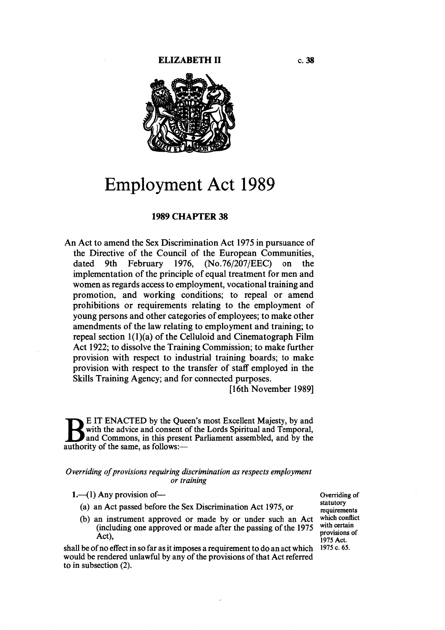

## Employment Act 1989

## 1989 CHAPTER 38

An Act to amend the Sex Discrimination Act 1975 in pursuance of the Directive of the Council of the European Communities, dated 9th February 1976, (No.76/207/EEC) on the implementation of the principle of equal treatment for men and women as regards access to employment, vocational training and promotion, and working conditions; to repeal or amend prohibitions or requirements relating to the employment of young persons and other categories of employees; to make other amendments of the law relating to employment and training; to repeal section  $1(1)(a)$  of the Celluloid and Cinematograph Film Act 1922; to dissolve the Training Commission; to make further provision with respect to industrial training boards; to make provision with respect to the transfer of staff employed in the Skills Training Agency; and for connected purposes.

[16th November 1989]

**BURE IT ENACTED by the Queen's most Excellent Majesty, by and with the advice and consent of the Lords Spiritual and Temporal, and Commons, in this present Parliament assembled, and by the authority of the same as follows** E IT ENACTED by the Queen's most Excellent Majesty, by and with the advice and consent of the Lords Spiritual and Temporal, authority of the same, as follows:—

Overriding of provisions requiring discrimination as respects employment or training

1.—(1) Any provision of—

- (a) an Act passed before the Sex Discrimination Act 1975, or
- (b) an instrument approved or made by or under such an Act (including one approved or made after the passing of the 1975 Act),

shall be of no effect in so far as it imposes a requirement to do an act which would be rendered unlawful by any of the provisions of that Act referred to in subsection (2).

Overriding of statutory requirements which conflict with certain provisions of 1975 Act. 1975 c. 65.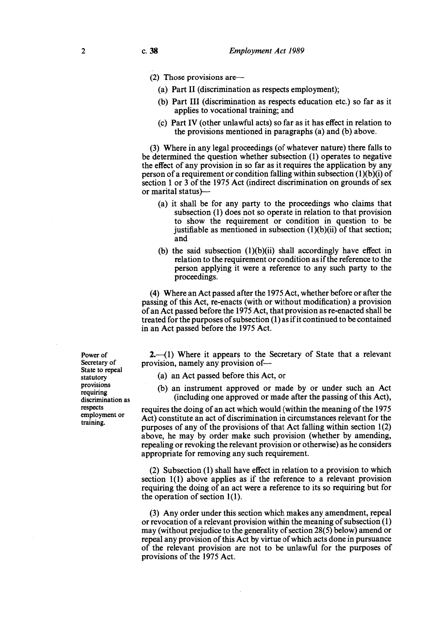(2) Those provisions are—

- (a) Part II (discrimination as respects employment);
- (b) Part III (discrimination as respects education etc.) so far as it applies to vocational training; and
- (c) Part IV (other unlawful acts) so far as it has effect in relation to the provisions mentioned in paragraphs (a) and (b) above.

(3) Where in any legal proceedings (of whatever nature) there falls to be determined the question whether subsection (1) operates to negative the effect of any provision in so far as it requires the application by any person of a requirement or condition falling within subsection  $(1)(b)(i)$  of section 1 or 3 of the 1975 Act (indirect discrimination on grounds of sex or marital status>—

- (a) it shall be for any party to the proceedings who claims that subsection (1) does not so operate in relation to that provision to show the requirement or condition in question to be justifiable as mentioned in subsection  $(1)(b)(ii)$  of that section; and
- (b) the said subsection (1)(b)(ii) shall accordingly have effect in relation to the requirement or condition as if the reference to the person applying it were a reference to any such party to the proceedings.

(4) Where an Act passed after the 1975 Act, whether before or after the passing of this Act, re-enacts (with or without modification) a provision of an Act passed before the 1975 Act, that provision as re-enacted shall be treated for the purposes of subsection (1) as if it continued to be contained in an Act passed before the 1975 Act.

Power of 2.—(1) Where it appears to the Secretary of State that a relevant Secretary of provision, namely any provision of— Secretary of provision, namely any provision of—-<br>State to repeal

- (a) an Act passed before this Act, or
- provisions (b) an instrument approved or made by or under such an Act discrimination as<br>
(including one approved or made after the passing of this Act),<br>
requires the doing of an act which would (within the meaning of the 1975)

respects requires the doing of an act which would (within the meaning of the 1975 employment or  $A$  at) constitute an act of discrimination in giroumataneos relays to the employment or Act) constitute an act of discrimination in circumstances relevant for the training. purposes of any of the provisions of that Act falling within section 1(2) above, he may by order make such provision (whether by amending, repealing or revoking the relevant provision or otherwise) as he considers appropriate for removing any such requirement.

> (2) Subsection (1) shall have effect in relation to a provision to which section 1(1) above applies as if the reference to a relevant provision requiring the doing of an act were a reference to its so requiring but for the operation of section 1(1).

> (3) Any order under this section which makes any amendment, repeal or revocation of a relevant provision within the meaning of subsection (1) may (without prejudice to the generality of section  $28(5)$  below) amend or repeal any provision of this Act by virtue of which acts done in pursuance of the relevant provision are not to be unlawful for the purposes of provisions of the 1975 Act.

statutory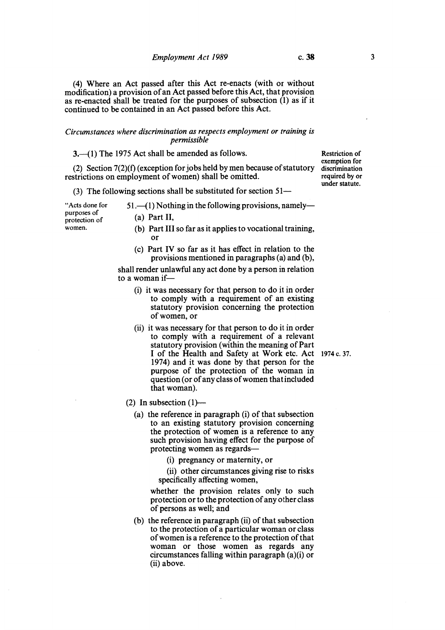(4) Where an Act passed after this Act re-enacts (with or without modification) a provision of an Act passed before this Act, that provision as re-enacted shall be treated for the purposes of subsection (1) as if it continued to be contained in an Act passed before this Act.

#### Circumstances where discrimination as respects employment or training is permissible

3.—(1) The 1975 Act shall be amended as follows. Restriction of

(2) Section  $7(2)(f)$  (exception for jobs held by men because of statutory discrimination strictions on employment of women) shall be omitted. restrictions on employment of women) shall be omitted.

(3) The following sections shall be substituted for section 51—

| purposes of   |
|---------------|
| protection of |
| women.        |

- $51 (1)$  Nothing in the following provisions, namely—
	- $(a)$  Part II.
	- (b) Part III so far as it applies to vocational training, or
	- (c) Part IV so far as it has effect in relation to the provisions mentioned in paragraphs (a) and (b),

shall render unlawful any act done by a person in relation to a woman if—

- (i) it was necessary for that person to do it in order to comply with a requirement of an existing statutory provision concerning the protection of women, or
- (ii) it was necessary for that person to do it in order to comply with a requirement of a relevant statutory provision (within the meaning of Part I of the Health and Safety at Work etc. Act 1974 c. 37. 1974) and it was done by that person for the purpose of the protection of the woman in question (or of any class of women that included that woman).
- (2) In subsection  $(1)$ 
	- (a) the reference in paragraph (i) of that subsection to an existing statutory provision concerning the protection of women is a reference to any such provision having effect for the purpose of protecting women as regards—

(i) pregnancy or maternity, or

(ii) other circumstances giving rise to risks specifically affecting women,

whether the provision relates only to such protection or to the protection of any other class of persons as well; and

(b) the reference in paragraph (ii) of that subsection to the protection of a particular woman or class of women is a reference to the protection of that woman or those women as regards any circumstances falling within paragraph (a)(i) or (ii) above.

exemption for under statute.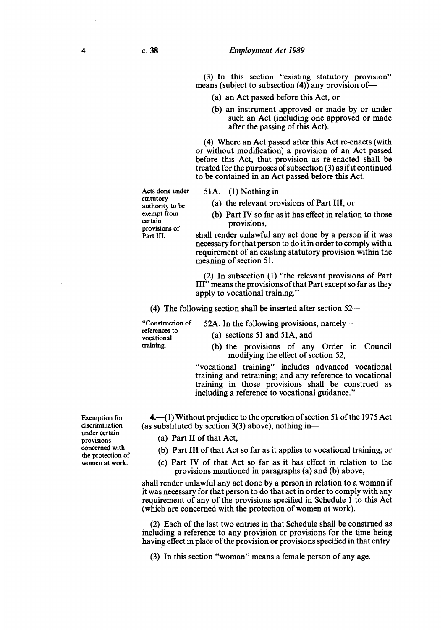#### 4 c. 38 Employment Act 1989

(3) In this section "existing statutory provision" means (subject to subsection (4)) any provision of—

- (a) an Act passed before this Act, or
- (b) an instrument approved or made by or under such an Act (including one approved or made after the passing of this Act).

(4) Where an Act passed after this Act re-enacts (with or without modification) a provision of an Act passed before this Act, that provision as re-enacted shall be treated for the purposes of subsection (3) as if it continued to be contained in an Act passed before this Act.

Acts done under  $51A$ .—(1) Nothing in—<br>statutory provisions of<br>Part III

- 
- $\frac{\text{statuity}}{\text{authority to be}}$  (a) the relevant provisions of Part III, or
- exempt from (b) Part IV so far as it has effect in relation to those<br>extain **provisions** provisions,

shall render unlawful any act done by a person if it was necessary for that person to do it in order to comply with a requirement of an existing statutory provision within the meaning of section 51.

(2) In subsection (1) "the relevant provisions of Part III" means the provisions of that Part except so far as they apply to vocational training."

(4) The following section shall be inserted after section 52—

references to<br>vocational

"Construction of 52A. In the following provisions, namely—

vocational (a) sections 51 and 51A, and<br>training. (b) the provisions of any

(b) the provisions of any Order in Council modifying the effect of section 52,

"vocational training" includes advanced vocational training and retraining; and any reference to vocational training in those provisions shall be construed as including a reference to vocational guidance."

Exemption for  $\mathbf{4}$ . (1) Without prejudice to the operation of section 51 of the 1975 Act discrimination (as substituted by section 3(3) above), nothing in  $\overline{\phantom{a}}$ (as substituted by section 3(3) above), nothing in—

- 
- concerned with (b) Part III of that Act so far as it applies to vocational training, or the protection of (c) Part IV of that Act so far as it has effect in relation to the women at work. (c) Part IV of that Act so far as it has effect in relation to the provisions mentioned in paragraphs (a) and (b) above,

shall render unlawful any act done by a person in relation to a woman if it was necessary for that person to do that act in order to comply with any requirement of any of the provisions specified in Schedule 1 to this Act (which are concerned with the protection of women at work).

(2) Each of the last two entries in that Schedule shall be construed as including a reference to any provision or provisions for the time being having effect in place of the provision or provisions specified in that entry.

(3) In this section "woman" means a female person of any age.

under certain provisions (a) Part II of that Act,<br>concerned with  $\left( \begin{array}{cc} A \end{array} \right)$  Part III of that A of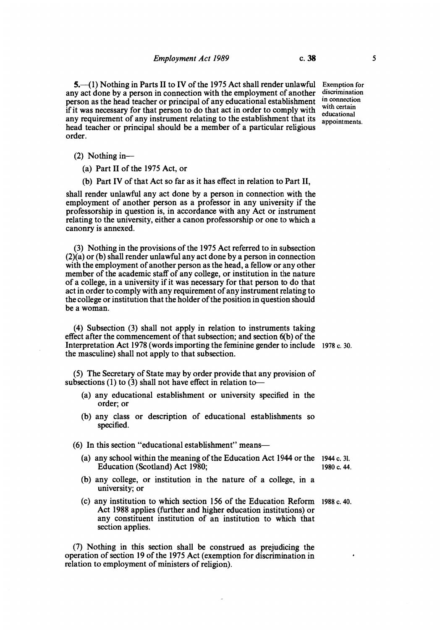5.—(1) Nothing in Parts II to IV of the 1975 Act shall render unlawful Exemption for<br>the act done by a person in connection with the employment of another discrimination any act done by a person in connection with the employment of another discrimination<br>negative as the head too short or principal of any educational establishment in connection person as the head teacher or principal of any educational establishment  $\frac{1}{2}$  in connection if it was necessary for that person to do that act in order to comply with If it was necessary for that person to do that act in order to compry with educational<br>any requirement of any instrument relating to the establishment that its appointments. head teacher or principal should be a member of a particular religious order.

(2) Nothing in—

(a) Part II of the 1975 Act, or

(b) Part IV of that Act so far as it has effect in relation to Part II,

shall render unlawful any act done by a person in connection with the employment of another person as a professor in any university if the professorship in question is, in accordance with any Act or instrument relating to the university, either a canon professorship or one to which a canonry is annexed.

(3) Nothing in the provisions of the 1975 Act referred to in subsection  $(2)(a)$  or (b) shall render unlawful any act done by a person in connection with the employment of another person as the head, a fellow or any other member of the academic staff of any college, or institution in the nature of a college, in a university if it was necessary for that person to do that act in order to comply with any requirement of any instrument relating to the college or institution that the holder of the position in question should be a woman.

(4) Subsection (3) shall not apply in relation to instruments taking effect after the commencement of that subsection; and section 6(b) of the Interpretation Act 1978 (words importing the feminine gender to include 1978 c. 30. the masculine) shall not apply to that subsection.

(5) The Secretary of State may by order provide that any provision of subsections (1) to (3) shall not have effect in relation to—

- (a) any educational establishment or university specified in the order; or
- (b) any class or description of educational establishments so specified.

(6) In this section "educational establishment" means—

- (a) any school within the meaning of the Education Act 1944 or the 1944 c. 31.<br>Education (Scotland) Act 1980:  $\frac{44}{1980 \text{ c}}$ Education (Scotland) Act 1980;
- (b) any college, or institution in the nature of a college, in a university; or
- (c) any institution to which section 156 of the Education Reform 1988 c. 40. Act 1988 applies (further and higher education institutions) or any constituent institution of an institution to which that section applies.

(7) Nothing in this section shall be construed as prejudicing the operation of section 19 of the 1975 Act (exemption for discrimination in relation to employment of ministers of religion).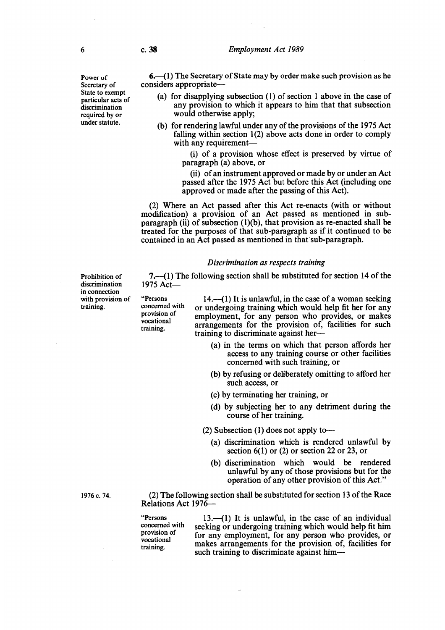Secretary of considers appropriate—<br>State to exempt  $\left(\cdot\right)$  for disconsider

Power of 6.—(1) The Secretary of State may by order make such provision as he Secretary of considers appropriate—

- state to exempt<br>
particular acts of (a) for disapplying subsection (1) of section 1 above in the case of<br>
discrimination any provision to which it appears to him that that subsection particular acts of<br>discrimination<br>required by or would otherwise apply; required by or would otherwise apply;<br>under statute.
	- (b) for rendering lawful under any of the provisions of the 1975 Act falling within section 1(2) above acts done in order to comply with any requirement—

(i) of a provision whose effect is preserved by virtue of paragraph (a) above, or

(ii) of an instrument approved or made by or under an Act passed after the 1975 Act but before this Act (including one approved or made after the passing of this Act).

(2) Where an Act passed after this Act re-enacts (with or without modification) a provision of an Act passed as mentioned in subparagraph (ii) of subsection  $(1)(b)$ , that provision as re-enacted shall be treated for the purposes of that sub-paragraph as if it continued to be contained in an Act passed as mentioned in that sub-paragraph.

#### Discrimination as respects training

in connection<br>with provision of

Prohibition of 7.—(1) The following section shall be substituted for section 14 of the discrimination 1975 Act— 1975  $Act$ —

with provision of "Persons  $14. - (1)$  It is unlawful, in the case of a woman seeking training. concerned with or undergoing training which would help fit her for any<br>provision of any partner who provides or makes provision of employment, for any person who provides, or makes vocational arrangements for the provision of, facilities for such training to discriminate against her—

- (a) in the terms on which that person affords her access to any training course or other facilities concerned with such training, or
- (b) by refusing or deliberately omitting to afford her such access, or
- (c) by terminating her training, or
- (d) by subjecting her to any detriment during the course of her training.

(2) Subsection (1) does not apply to—

- (a) discrimination which is rendered unlawful by section  $6(1)$  or (2) or section 22 or 23, or
- (b) discrimination which would be rendered unlawful by any of those provisions but for the operation of any other provision of this Act."

<sup>1976</sup>c. 74. (2) The following section shall be substituted for section 13 of the Race Relations Act 1976—

"Persons  $13.$ —(1) It is unlawful, in the case of an individual concerned with seeking or undergoing training which would help fit him concerned with seeking or undergoing training which would help fit him provision of for any employment, for any person who provides, or vocational makes arrangements for the provision of, facilities for such training to discriminate against him—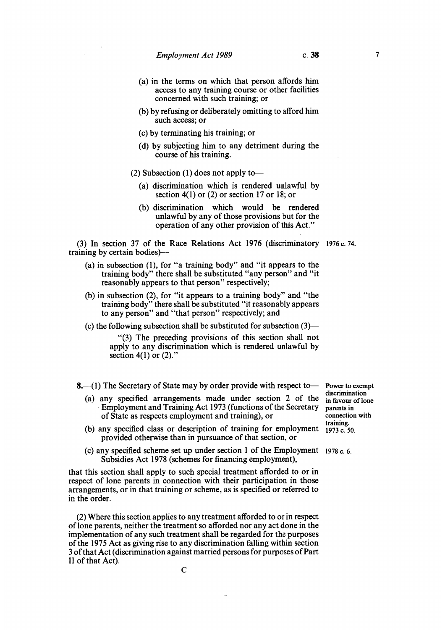- (a) in the terms on which that person affords him access to any training course or other facilities concerned with such training; or
- (b) by refusing or deliberately omitting to afford him such access; or
- (c) by terminating his training; or
- (d) by subjecting him to any detriment during the course of his training.

(2) Subsection (1) does not apply to—

- (a) discrimination which is rendered unlawful by section  $4(1)$  or  $(2)$  or section 17 or 18; or
- (b) discrimination which would be rendered unlawful by any of those provisions but for the operation of any other provision of this Act."

(3) In section 37 of the Race Relations Act 1976 (discriminatory 1976 c. 74. training by certain bodies)—--

- (a) in subsection (1), for "a training body" and "it appears to the training body" there shall be substituted "any person" and "it reasonably appears to that person" respectively;
- (b) in subsection (2), for "it appears to a training body" and "the training body" there shall be substituted "it reasonably appears to any person" and "that person" respectively; and
- (c) the following subsection shall be substituted for subsection (3)—

"(3) The preceding provisions of this section shall not apply to any discrimination which is rendered unlawful by section  $4(1)$  or  $(2)$ ."

8.—(1) The Secretary of State may by order provide with respect to— Power to exempt

- (a) any specified arrangements made under section 2 of the  $\frac{1}{\ln x}$  in favour of lone Employment and Training Act 1973 (functions of the Secretary parents in Employment and Training Act 1973 (functions of the Secretary parents in<br>of State as respects employment and training), or connection with of State as respects employment and training), or connection connection with training.
- (b) any specified class or description of training for employment  $1973 \text{ c. } 50$ . provided otherwise than in pursuance of that section, or
- (c) any specified scheme set up under section 1 of the Employment 1978 c. 6. Subsidies Act 1978 (schemes for financing employment),

that this section shall apply to such special treatment afforded to or in respect of lone parents in connection with their participation in those arrangements, or in that training or scheme, as is specified or referred to in the order.

(2) Where this section applies to any treatment afforded to or in respect of lone parents, neither the treatment so afforded nor any act done in the implementation of any such treatment shall be regarded for the purposes of the 1975 Act as giving rise to any discrimination falling within section <sup>3</sup>of that Act (discrimination against married persons for purposes of Part II of that Act).

discrimination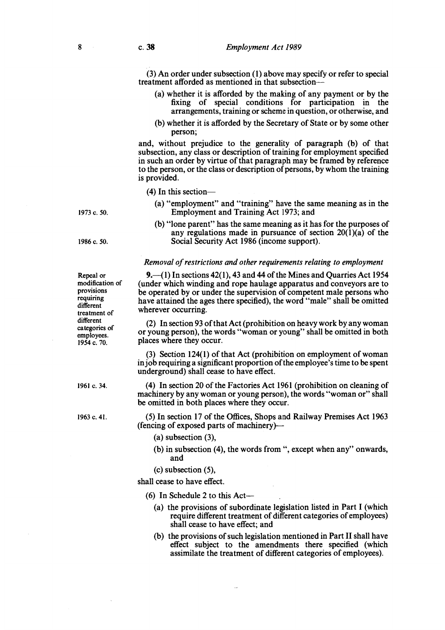(3) An order under subsection (1) above may specify or refer to special treatment afforded as mentioned in that subsection—

- (a) whether it is afforded by the making of any payment or by the fixing of special conditions for participation in the arrangements, training or scheme in question, or otherwise, and
- (b) whether it is afforded by the Secretary of State or by some other person;

and, without prejudice to the generality of paragraph (b) of that subsection, any class or description of training for employment specified in such an order by virtue of that paragraph may be framed by reference to the person, or the class or description of persons, by whom the training is provided.

- (4) In this section—
- (a) "employment" and "training" have the same meaning as in the <sup>1973</sup>c. 50. Employment and Training Act 1973; and
- (b) "lone parent" has the same meaning as it has for the purposes of any regulations made in pursuance of section  $20(1)(a)$  of the 1986 c. 50. Social Security Act 1986 (income support).

#### Removal of restrictions and other requirements relating to employment

Repeal or 9.—(1) In sections 42(1), 43 and 44 of the Mines and Quarries Act 1954 modification of (under which winding and rope haulage apparatus and conveyors are to modification of (under which winding and rope haulage apparatus and conveyors are to<br>provisions be operated by or under the supervision of competent male persons who provisions be operated by or under the supervision of competent male persons who<br>requiring hove attained the ages there specified), the word "male" shall be omitted requiring have attained the ages there specified), the word "male" shall be omitted different treatment of wherever occurring.

different (2) In section 93 of that Act (prohibition on heavy work by any woman<br>categories of categories of or young person), the words "woman or young" shall be omitted in both employees. 1954 c.  $70.$  places where they occur.

> (3) Section 124(1) of that Act (prohibition on employment of woman in job requiring a significant proportion of the employee's time to be spent underground) shall cease to have effect.

<sup>1961</sup>c. 34. (4) In section 20 of the Factories Act 1961 (prohibition on cleaning of machinery by any woman or young person), the words "woman or" shall be omitted in both places where they occur.

1963 c. 41. (5) In section 17 of the Offices, Shops and Railway Premises Act 1963 (fencing of exposed parts of machinery)—

- (a) subsection (3),
- (b) in subsection (4), the words from ", except when any" onwards, and
- (c) subsection (5),

shall cease to have effect.

(6) In Schedule 2 to this Act—

- (a) the provisions of subordinate legislation listed in Part I (which require different treatment of different categories of employees) shall cease to have effect; and
- (b) the provisions of such legislation mentioned in Part II shall have effect subject to the amendments there specified (which assimilate the treatment of different categories of employees).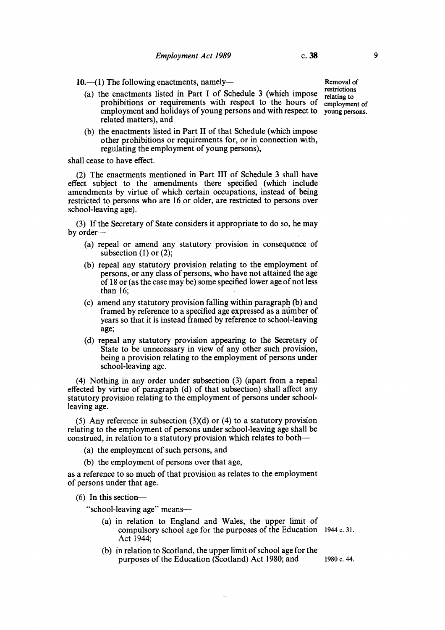10.—(1) The following enactments, namely— $\overline{\phantom{a}}$  Removal of restrictions

- (a) the enactments listed in Part I of Schedule 3 (which impose relating to prohibitions or requirements with respect to the hours of employment of prohibitions or requirements with respect to the hours of employment of employment and holidays of young persons and with respect to young persons. employment and holidays of young persons and with respect to related matters), and
- (b) the enactments listed in Part II of that Schedule (which impose other prohibitions or requirements for, or in connection with, regulating the employment of young persons),

shall cease to have effect.

(2) The enactments mentioned in Part III of Schedule 3 shall have effect subject to the amendments there specified (which include amendments by virtue of which certain occupations, instead of being restricted to persons who are 16 or older, are restricted to persons over school-leaving age).

(3) If the Secretary of State considers it appropriate to do so, he may by order—

- (a) repeal or amend any statutory provision in consequence of subsection  $(1)$  or  $(2)$ ;
- (b) repeal any statutory provision relating to the employment of persons, or any class of persons, who have not attained the age of 18 or (as the case may be) some specified lower age of not less than 16;
- (c) amend any statutory provision falling within paragraph (b) and framed by reference to a specified age expressed as a number of years so that it is instead framed by reference to school-leaving age;
- (d) repeal any statutory provision appearing to the Secretary of State to be unnecessary in view of any other such provision, being a provision relating to the employment of persons under school-leaving age.

(4) Nothing in any order under subsection (3) (apart from a repeal effected by virtue of paragraph (d) of that subsection) shall affect any statutory provision relating to the employment of persons under schoolleaving age.

(5) Any reference in subsection  $(3)(d)$  or  $(4)$  to a statutory provision relating to the employment of persons under school-leaving age shall be construed, in relation to a statutory provision which relates to both—

- (a) the employment of such persons, and
- (b) the employment of persons over that age,

as a reference to so much of that provision as relates to the employment of persons under that age.

(6) In this section—

"school-leaving age" means—

- (a) in relation to England and Wales, the upper limit of compulsory school age for the purposes of the Education 1944 c. 31. Act 1944;
- (b) in relation to Scotland, the upper limit of school age for the purposes of the Education (Scotland) Act 1980; and 1980 c. 44.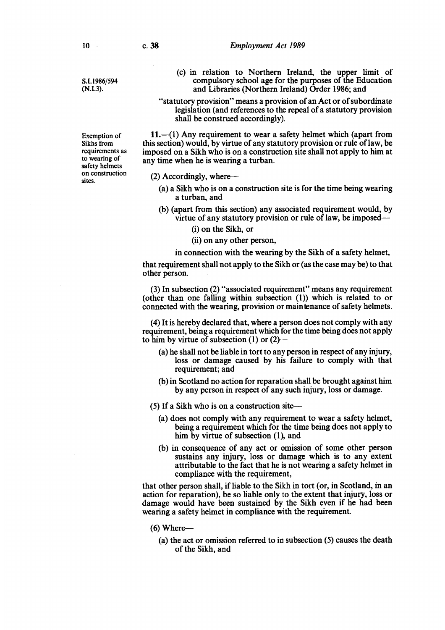- (c) in relation to Northern Ireland, the upper limit of S.I.1986/594 compulsory school age for the purposes of the Education<br>(N.I.3). and Libraries (Northern Ireland) Order 1986: and and Libraries (Northern Ireland) Order 1986; and
	- "statutory provision" means a provision of an Act or of subordinate legislation (and references to the repeal of a statutory provision shall be construed accordingly).

Exemption of  $11.-(1)$  Any requirement to wear a safety helmet which (apart from Sikhs from this section) would, by virtue of any statutory provision or rule of law, be Sikhs from this section) would, by virtue of any statutory provision or rule of law, be requirements as imposed on a Sikh who is on a construction site shall not apply to him at requirements as imposed on a Sikh who is on a construction site shall not apply to him at<br>to wearing of any time when he is wearing a turban any time when he is wearing a turban.

(2) Accordingly, where—

- (a) a Sikh who is on a construction site is for the time being wearing a turban, and
- (b) (apart from this section) any associated requirement would, by virtue of any statutory provision or rule of law, be imposed—

(i) on the Sikh, or

(ii) on any other person,

in connection with the wearing by the Sikh of a safety helmet,

that requirement shall not apply to the Sikh or (as the case may be) to that other person.

(3) In subsection (2) "associated requirement" means any requirement (other than one falling within subsection (1)) which is related to or connected with the wearing, provision or maintenance of safety helmets.

(4) It is hereby declared that, where a person does not comply with any requirement, being a requirement which for the time being does not apply to him by virtue of subsection (1) or (2)—

- (a) he shall not be liable in tort to any person in respect of any injury, loss or damage caused by his failure to comply with that requirement; and
- (b) in Scotland no action for reparation shall be brought against him by any person in respect of any such injury, loss or damage.
- (5) If a Sikh who is on a construction site—
	- (a) does not comply with any requirement to wear a safety helmet, being a requirement which for the time being does not apply to him by virtue of subsection (1), and
	- (b) in consequence of any act or omission of some other person sustains any injury, loss or damage which is to any extent attributable to the fact that he is not wearing a safety helmet in compliance with the requirement,

that other person shall, if liable to the Sikh in tort (or, in Scotland, in an action for reparation), be so liable only to the extent that injury, loss or damage would have been sustained by the Sikh even if he had been wearing a safety helmet in compliance with the requirement.

(a) the act or omission referred to in subsection (5) causes the death of the Sikh, and

safety helmets<br>on construction sites

<sup>(6)</sup> Where—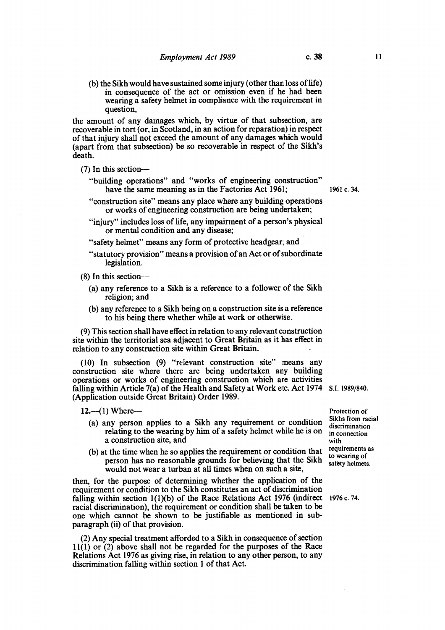(b) the Sikh would have sustained some injury (other than loss of life) in consequence of the act or omission even if he had been wearing a safety helmet in compliance with the requirement in question,

the amount of any damages which, by virtue of that subsection, are recoverable in tort (or, in Scotland, in an action for reparation) in respect of that injury shall not exceed the amount of any damages which would (apart from that subsection) be so recoverable in respect of the Sikh's death.

(7) In this section—

- "building operations" and "works of engineering construction" have the same meaning as in the Factories Act 1961; 1961 c. 34.
- "construction site" means any place where any building operations or works of engineering construction are being undertaken;
- "injury" includes loss of life, any impairment of a person's physical or mental condition and any disease;

"safety helmet" means any form of protective headgear; and

"statutory provision" means a provision of an Act or of subordinate legislation.

(8) In this section—

- (a) any reference to a Sikh is a reference to a follower of the Sikh religion; and
- (b) any reference to a Sikh being on a construction site is a reference to his being there whether while at work or otherwise.

(9) This section shall have effect in relation to any relevant construction site within the territorial sea adjacent to Great Britain as it has effect in relation to any construction site within Great Britain,

(10) In subsection (9) "relevant construction site" means any construction site where there are being undertaken any building operations or works of engineering construction which are activities falling within Article 7(a) of the Health and Safety at Work etc. Act 1974 S.I. 1989/840. (Application outside Great Britain) Order 1989.

- (a) any person applies to a Sikh any requirement or condition relating to the wearing by him of a safety helmet while he is on discrimination a construction site, and with a construction site, and<br>the time when he so englise the requirement or condition that requirements as
- (b) at the time when he so applies the requirement or condition that person has no reasonable grounds for believing that the Sikh would not wear a turban at all times when on such a site,

then, for the purpose of determining whether the application of the requirement or condition to the Sikh constitutes an act of discrimination falling within section  $1(1)(b)$  of the Race Relations Act 1976 (indirect 1976 c. 74. racial discrimination), the requirement or condition shall be taken to be one which cannot be shown to be justifiable as mentioned in subparagraph (ii) of that provision.

(2) Any special treatment afforded to a Sikh in consequence of section  $11(1)$  or (2) above shall not be regarded for the purposes of the Race Relations Act 1976 as giving rise, in relation to any other person, to any discrimination falling within section 1 of that Act.

12.  $(1)$  Where—<br> $(2)$  Where—<br> $(3)$  Where—<br> $(2)$  Where—<br> $(3)$  Where—<br> $(4)$  Where—<br> $(5)$  Sikhs from racial to wearing of<br>safety helmets.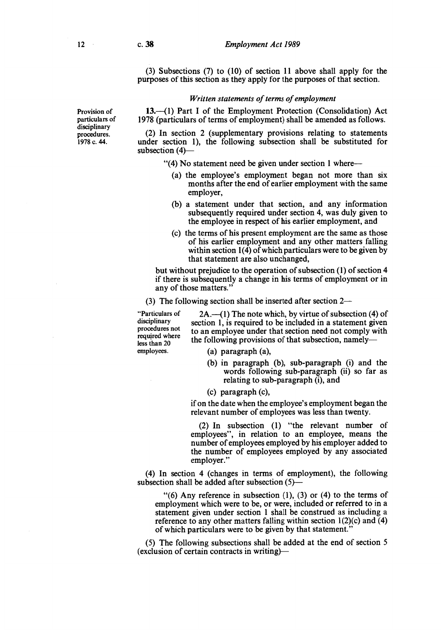(3) Subsections (7) to (10) of section 11 above shall apply for the purposes of this section as they apply for the purposes of that section.

#### Written statements of terms of employment

Provision of 13.—(1) Part I of the Employment Protection (Consolidation) Act particulars of 1978 (particulars of terms of employment) shall be amended as follows. 1978 (particulars of terms of employment) shall be amended as follows.

procedures. (2) In section 2 (supplementary provisions relating to statements under section 1), the following subsection shall be substituted for subsection (4)—

"(4) No statement need be given under section 1 where—

- (a) the employee's employment began not more than six months after the end of earlier employment with the same employer,
- (b) a statement under that section, and any information subsequently required under section 4, was duly given to the employee in respect of his earlier employment, and
- (c) the terms of his present employment are the same as those of his earlier employment and any other matters falling within section  $1(4)$  of which particulars were to be given by that statement are also unchanged,

but without prejudice to the operation of subsection (1) of section 4 if there is subsequently a change in his terms of employment or in any of those matters."

(3) The following section shall be inserted after section 2—

less than 20

"Particulars of  $2A.$   $-$ (1) The note which, by virtue of subsection (4) of disciplinary section 1 is required to be included in a statement given disciplinary section 1, is required to be included in a statement given<br>procedures not<br>to an employee under that section need not comply with procedures not<br>required where the following procedure of that representing procedure the following provisions of that subsection, namely—

- employees. (a) paragraph (a),
	- (b) in paragraph (b), sub-paragraph (i) and the words following sub-paragraph (ii) so far as relating to sub-paragraph (i), and
	- (c) paragraph (c),

if on the date when the employee's employment began the relevant number of employees was less than twenty.

(2) In subsection (1) "the relevant number of employees", in relation to an employee, means the number of employees employed by his employer added to the number of employees employed by any associated employer."

(4) In section 4 (changes in terms of employment), the following subsection shall be added after subsection (5)—

 $(6)$  Any reference in subsection  $(1)$ ,  $(3)$  or  $(4)$  to the terms of employment which were to be, or were, included or referred to in a statement given under section 1 shall be construed as including a reference to any other matters falling within section  $1(2)(c)$  and (4) of which particulars were to be given by that statement."

(5) The following subsections shall be added at the end of section <sup>5</sup> (exclusion of certain contracts in writing)—

disciplinary<br>procedures.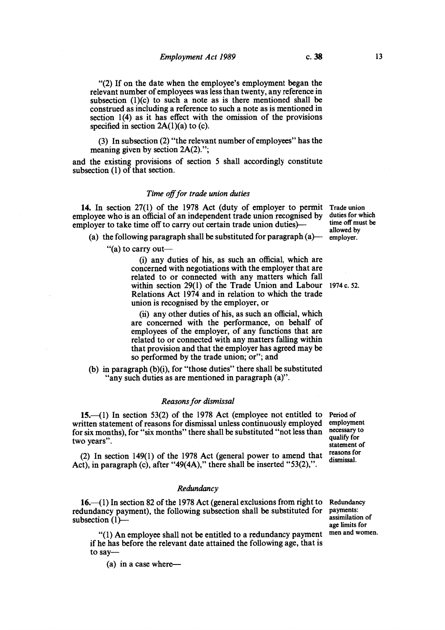"(2) If on the date when the employee's employment began the relevant number of employees was less than twenty, any reference in subsection  $(1)(c)$  to such a note as is there mentioned shall be construed as including a reference to such a note as is mentioned in section 1(4) as it has effect with the omission of the provisions specified in section  $2A(1)(a)$  to (c).

(3) In subsection (2) "the relevant number of employees" has the meaning given by section 2A(2).";

and the existing provisions of section 5 shall accordingly constitute subsection (1) of that section.

#### Time off for trade union duties

14. In section  $27(1)$  of the 1978 Act (duty of employer to permit Trade union nolovee who is an official of an independent trade union recognised by duties for which employee who is an official of an independent trade union recognised by duties for which<br>employer to take time off to carry out certain trade union duties) time off must be employer to take time off to carry out certain trade union duties)—

- (a) the following paragraph shall be substituted for paragraph  $(a)$ 
	- "(a) to carry out—

(i) any duties of his, as such an official, which are concerned with negotiations with the employer that are related to or connected with any matters which fall within section 29(1) of the Trade Union and Labour 1974 c. 52. Relations Act 1974 and in relation to which the trade union is recognised by the employer, or

(ii) any other duties of his, as such an official, which are concerned with the performance, on behalf of employees of the employer, of any functions that are related to or connected with any matters falling within that provision and that the employer has agreed may be so performed by the trade union; or"; and

(b) in paragraph (b)(i), for "those duties" there shall be substituted "any such duties as are mentioned in paragraph (a)".

#### Reasons for dismissal

15.—(1) In section 53(2) of the 1978 Act (employee not entitled to Period of research of reasons for dismissal unless continuously employed employment written statement of reasons for dismissal unless continuously employed employment<br>for six months) for "six months" there shall be substituted "not less than necessary to for six months), for "six months" there shall be substituted "not less than necessary to two years".  $\frac{1}{2}$  and months and the state of the substitution of the state of the state of the state of the state of the state of the state of the state of the state of the state of the state of the state of the state

(2) In section 149(1) of the 1978 Act (general power to amend that (2) In section 149(1) of the 1978 Act (general power to amend that dismissal.<br>Act), in paragraph (c), after "49(4A)," there shall be inserted "53(2),".

#### Redundancy

 $16$ —(1) In section 82 of the 1978 Act (general exclusions from right to Redundancy payment), the following subsection shall be substituted for payments: redundancy payment), the following subsection shall be substituted for payments:<br>similation of subsection  $(1)$ —

 $''(1)$  An employee shall not be entitled to a redundancy payment. if he has before the relevant date attained the following age, that is to say—

(a) in a case where—

allowed by<br>employer.

statement of<br>reasons for

age limits for<br>men and women.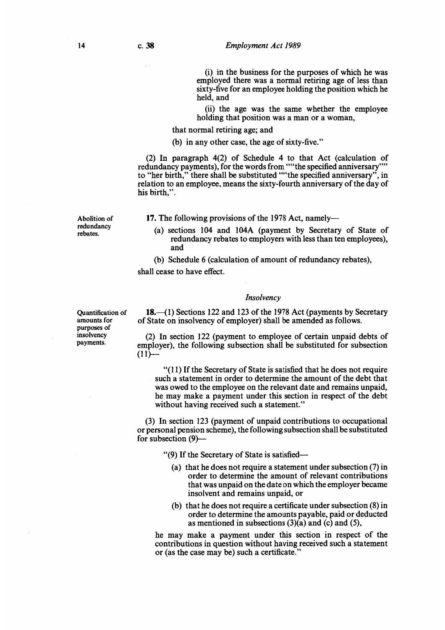(i) in the business for the purposes of which he was employed there was a normal retiring age of less than sixty-five for an employee holding the position which he held, and

(ii) the age was the same whether the employee holding that position was a man or a woman,

that normal retiring age; and

(b) in any other case, the age of sixty-five."

(2) In paragraph 4(2) of Schedule 4 to that Act (calculation of redundancy payments), for the words from ""the specified anniversary"" to "her birth," there shall be substituted "the specified anniversary", in relation to an employee, means the sixty-fourth anniversary of the day of his birth,".

Abolition of 17. The following provisions of the 1978 Act, namely—

(a) sections  $104$  and  $104A$  (payment by Secretary of State of redundancy rebates to employers with less than ten employees), and

(b) Schedule 6 (calculation of amount of redundancy rebates),

shall cease to have effect.

#### **Insolvency**

Quantification of 18.—(1) Sections 122 and 123 of the 1978 Act (payments by Secretary amounts for of State on insolvency of employer) shall be amended as follows. of State on insolvency of employer) shall be amended as follows.

insolvency (2) In section 122 (payment to employee of certain unpaid debts of payments. employer), the following subsection shall be substituted for subsection  $(11)$ —

> "(11) If the Secretary of State is satisfied that he does not require such a statement in order to determine the amount of the debt that was owed to the employee on the relevant date and remains unpaid, he may make a payment under this section in respect of the debt without having received such a statement."

(3) In section 123 (payment of unpaid contributions to occupational or personal pension scheme), the following subsection shall be substituted for subsection (9)—

"(9) If the Secretary of State is satisfied—

- (a) that he does not require a statement under subsection (7) in order to determine the amount of relevant contributions that was unpaid on the date on which the employer became insolvent and remains unpaid, or
- (b) that he does not require a certificate under subsection (8) in order to determine the amounts payable, paid or deducted as mentioned in subsections  $(3)(a)$  and  $(c)$  and  $(5)$ ,

he may make a payment under this section in respect of the contributions in question without having received such a statement or (as the case may be) such a certificate."

redundancy

purposes of<br>insolvency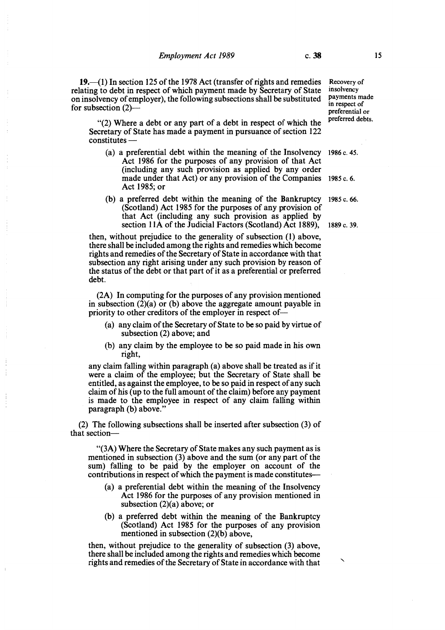19.—(1) In section 125 of the 1978 Act (transfer of rights and remedies Recovery of lating to debt in respect of which payment made by Secretary of State insolvency relating to debt in respect of which payment made by Secretary of State insolvency<br>on insolvency of employer), the following subsections shall be substituted payments made on insolvency of employer), the following subsections shall be substituted payments made in respect of for subsection  $(2)$ —<br>
preferential or<br>  $(2)$  MP<sub>1</sub> preferential or<br>  $(4)$  preferred debts.

"(2) Where a debt or any part of a debt in respect of which the Secretary of State has made a payment in pursuance of section 122 constitutes —

- (a) a preferential debt within the meaning of the Insolvency 1986 c. 45. Act 1986 for the purposes of any provision of that Act (including any such provision as applied by any order made under that Act) or any provision of the Companies 1985 c. 6. Act 1985; or
- (b) a preferred debt within the meaning of the Bankruptcy 1985 c. 66. (Scotland) Act 1985 for the purposes of any provision of that Act (including any such provision as applied by section 11A of the Judicial Factors (Scotland) Act 1889), 1889 c. 39.

then, without prejudice to the generality of subsection (1) above, there shall be included among the rights and remedies which become rights and remedies of the Secretary of State in accordance with that subsection any right arising under any such provision by reason of the status of the debt or that part of it as a preferential or preferred debt.

(2A) In computing for the purposes of any provision mentioned in subsection (2)(a) or (b) above the aggregate amount payable in priority to other creditors of the employer in respect of—

- (a) any claim of the Secretary of State to be so paid by virtue of subsection (2) above; and
- (b) any claim by the employee to be so paid made in his own right,

any claim falling within paragraph (a) above shall be treated as if it were a claim of the employee; but the Secretary of State shall be entitled, as against the employee, to be so paid in respect of any such claim of his (up to the full amount of the claim) before any payment is made to the employee in respect of any claim falling within paragraph (b) above.'

(2) The following subsections shall be inserted after subsection (3) of that section—

"(3A) Where the Secretary of State makes any such payment as is mentioned in subsection (3) above and the sum (or any part of the sum) falling to be paid by the employer on account of the contributions in respect of which the payment is made constitutes—

- (a) a preferential debt within the meaning of the Insolvency Act 1986 for the purposes of any provision mentioned in subsection (2)(a) above; or
- (b) a preferred debt within the meaning of the Bankruptcy (Scotland) Act 1985 for the purposes of any provision mentioned in subsection (2)(b) above,

then, without prejudice to the generality of subsection (3) above, there shall be included among the rights and remedies which become rights and remedies of the Secretary of State in accordance with that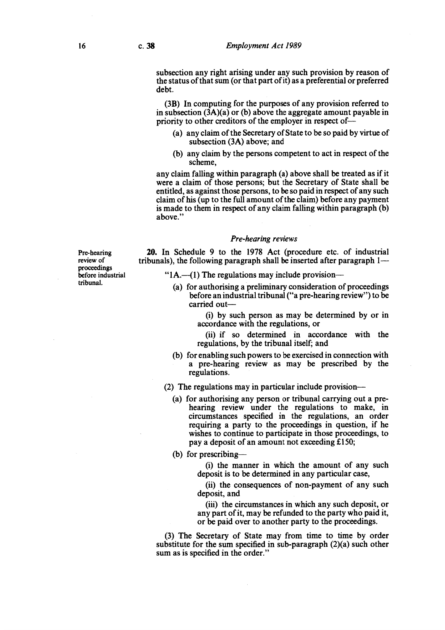subsection any right arising under any such provision by reason of the status of that sum (or that part of it) as a preferential or preferred debt.

(3B) In computing for the purposes of any provision referred to in subsection  $(\overline{3}A)(a)$  or (b) above the aggregate amount payable in priority to other creditors of the employer in respect of—

- (a) any claim of the Secretary of State to be so paid by virtue of subsection (3A) above; and
- (b) any claim by the persons competent to act in respect of the scheme,

any claim falling within paragraph (a) above shall be treated as if it were a claim of those persons; but the Secretary of State shall be entitled, as against those persons, to be so paid in respect of any such claim of his (up to the full amount of the claim) before any payment is made to them in respect of any claim falling within paragraph (b) above."

#### Pre-hearing reviews

Pre-hearing 20. In Schedule 9 to the 1978 Act (procedure etc. of industrial review of tribunals) the following paragraph shall be inserted after paragraph 1 tribunals), the following paragraph shall be inserted after paragraph  $1$ —

- before industrial "1A.—(1) The regulations may include provision—<br>tribunal
	- $(a)$  for authorising a preliminary consideration of proceedings before an industrial tribunal ("a pre-hearing review") to be carried out—

(1) by such person as may be determined by or in accordance with the regulations, or

- (ii) if so determined in accordance with the regulations, by the tribunal itself; and
- (b) for enabling such powers to be exercised in connection with a pre-hearing review as may be prescribed by the regulations.
- (2) The regulations may in particular include provision—
	- (a) for authorising any person or tribunal carrying out a prehearing review under the regulations to make, in circumstances specified in the regulations, an order requiring a party to the proceedings in question, if he wishes to continue to participate in those proceedings, to pay a deposit of an amount not exceeding £150;
	- (b) for prescribing—

(i) the manner in which the amount of any such deposit is to be determined in any particular case,

(ii) the consequences of non-payment of any such deposit, and

(iii) the circumstances in which any such deposit, or any part of it, may be refunded to the party who paid it, or be paid over to another party to the proceedings.

(3) The Secretary of State may from time to time by order substitute for the sum specified in sub-paragraph (2)(a) such other sum as is specified in the order."

proceedings<br>before industrial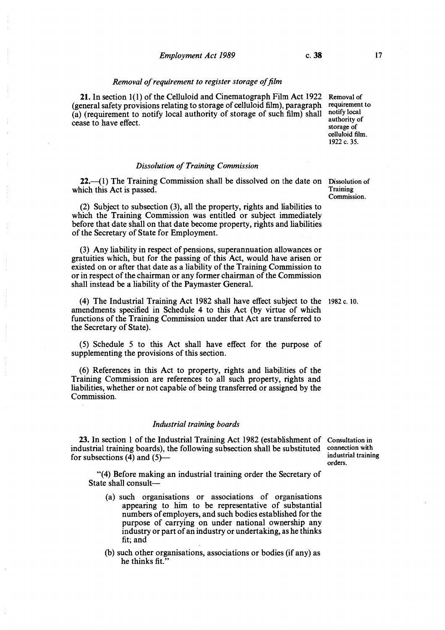## Removal of requirement to register storage of film

21. In section 1(1) of the Celluloid and Cinematograph Film Act 1922 Removal of energy requirement to storage of celluloid film) paragraph requirement to (general safety provisions relating to storage of celluloid film), paragraph requirement  $(a)$  (requirement to notify local authority of storage of such film) shall notify local (a) (requirement to notify local authority of storage of such film) shall notify local authority of cease to have effect.

storage of celluloid film. 1922 c. 35.

#### Dissolution of Training Commission

22.—(1) The Training Commission shall be dissolved on the date on Dissolution of hich this Act is passed. which this Act is passed. Commission.

(2) Subject to subsection (3), all the property, rights and liabilities to which the Training Commission was entitled or subject immediately before that date shall on that date become property, rights and liabilities of the Secretary of State for Employment.

(3) Any liability in respect of pensions, superannuation allowances or gratuities which, but for the passing of this Act, would have arisen or existed on or after that date as a liability of the Training Commission to or in respect of the chairman or any former chairman of the Commission shall instead be a liability of the Paymaster General.

(4) The Industrial Training Act 1982 shall have effect subject to the 1982 c. 10. amendments specified in Schedule 4 to this Act (by virtue of which functions of the Training Commission under that Act are transferred to the Secretary of State).

(5) Schedule 5 to this Act shall have effect for the purpose of supplementing the provisions of this section.

(6) References in this Act to property, rights and liabilities of the Training Commission are references to all such property, rights and liabilities, whether or not capable of being transferred or assigned by the Commission.

#### Industrial training boards

23. In section 1 of the Industrial Training Act 1982 (establishment of Consultation in dustrial training boards) the following subsection shall be substituted connection with industrial training boards), the following subsection shall be substituted connection with<br>for subsections  $(4)$  and  $(5)$ for subsections  $(\overline{4})$  and  $(5)$  industrial training industrial training industrial training industrial training in  $\overline{1}$ 

"(4) Before making an industrial training order the Secretary of State shall consult—

- (a) such organisations or associations of organisations appearing to him to be representative of substantial numbers of employers, and such bodies established for the purpose of carrying on under national ownership any industry or part of an industry or undertaking, as he thinks fit; and
- (b) such other organisations, associations or bodies (if any) as he thinks fit."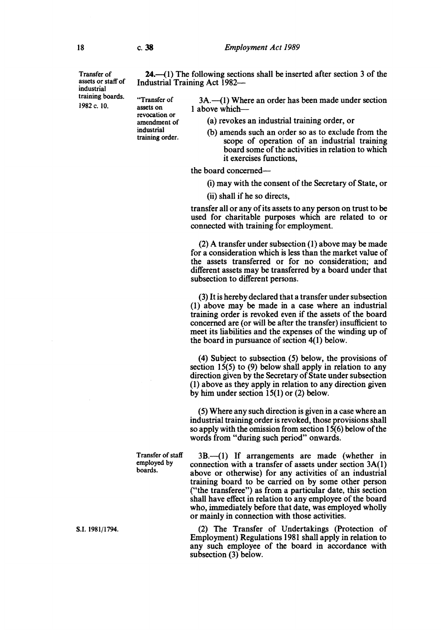industrial<br>training boards.

Transfer of 24.—(1) The following sections shall be inserted after section 3 of the assets or staff of Industrial Training Act  $1982$ — Industrial Training Act 1982–

revocation or

training boards. "Transfer of  $3A.$ —(1) Where an order has been made under section assets on  $1.982 \text{ c. } 10.$ 1 above which—

- amendment of (a) revokes an industrial training order, or<br>industrial (b) emerges and an order so as to exclude
- industrial (b) amends such an order so as to exclude from the training order. scope of operation of an industrial training board some of the activities in relation to which it exercises functions,

the board concerned—

- (i) may with the consent of the Secretary of State, or
- (ii) shall if he so directs,

transfer all or any of its assets to any person on trust to be used for charitable purposes which are related to or connected with training for employment.

(2) A transfer under subsection (1) above may be made for a consideration which is less than the market value of the assets transferred or for no consideration; and different assets may be transferred by a board under that subsection to different persons.

(3) It is hereby declared that a transfer under subsection (1) above may be made in a case where an industrial training order is revoked even if the assets of the board concerned are (or will be after the transfer) insufficient to meet its liabilities and the expenses of the winding up of the board in pursuance of section 4(1) below.

(4) Subject to subsection (5) below, the provisions of section  $15(5)$  to (9) below shall apply in relation to any direction given by the Secretary of State under subsection (1) above as they apply in relation to any direction given by him under section 15(1) or (2) below.

(5) Where any such direction is given in a case where an industrial training order is revoked, those provisions shall so apply with the omission from section  $15(6)$  below of the words from "during such period" onwards.

Transfer of staff  $3B$ .—(1) If arrangements are made (whether in employed by connection with a transfer of assets under section  $3A(1)$ employed by connection with a transfer of assets under section  $3A(1)$ <br>boards. above or otherwise) for any activities of an industrial training board to be carried on by some other person ("the transferee") as from a particular date, this section shall have effect in relation to any employee of the board who, immediately before that date, was employed wholly or mainly in connection with those activities.

S.!. 1981/1794. (2) The Transfer of Undertakings (Protection of Employment) Regulations 1981 shall apply in relation to any such employee of the board in accordance with subsection (3) below.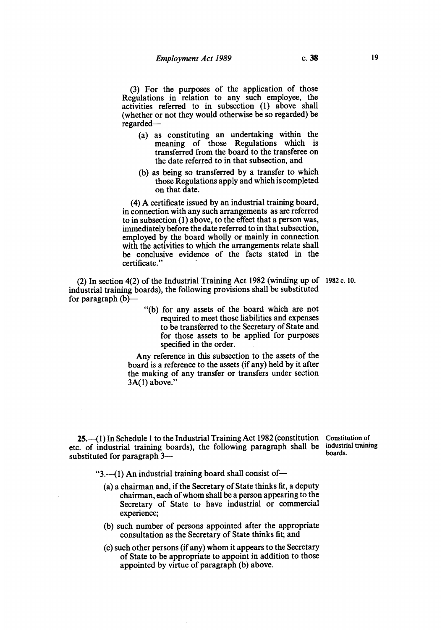(3) For the purposes of the application of those Regulations in relation to any such employee, the activities referred to in subsection (1) above shall (whether or not they would otherwise be so regarded) be regarded—

- (a) as constituting an undertaking within the meaning of those Regulations which is transferred from the board to the transferee on the date referred to in that subsection, and
- (b) as being so transferred by a transfer to which those Regulations apply and which is completed on that date.

(4) A certificate issued by an industrial training board, in connection with any such arrangements as are referred to in subsection (1) above, to the effect that a person was, immediately before the date referred to in that subsection, employed by the board wholly or mainly in connection with the activities to which the arrangements relate shall be conclusive evidence of the facts stated in the certificate."

(2) In section 4(2) of the Industrial Training Act 1982 (winding up of <sup>1982</sup>c. 10. industrial training boards), the following provisions shall be substituted for paragraph  $(b)$ —

> "(b) for any assets of the board which are not required to meet those liabilities and expenses to be transferred to the Secretary of State and for those assets to be applied for purposes specified in the order.

Any reference in this subsection to the assets of the board is a reference to the assets (if any) held by it after the making of any transfer or transfers under section  $3A(1)$  above."

25.—(1) In Schedule 1 to the Industrial Training Act  $1982$  (constitution Constitution of  $\alpha$  of industrial training boards) the following paragraph shall be industrial training etc. of industrial training boards), the following paragraph shall be industrial training substituted for paragraph  $3-$ 

"3.—(1) An industrial training board shall consist of—

- (a) a chairman and, if the Secretary of State thinks fit, a deputy chairman, each of whom shall be a person appearing to the Secretary of State to have industrial or commercial experience;
- (b) such number of persons appointed after the appropriate consultation as the Secretary of State thinks fit; and
- (c) such other persons (if any) whom it appears to the Secretary of State to be appropriate to appoint in addition to those appointed by virtue of paragraph (b) above.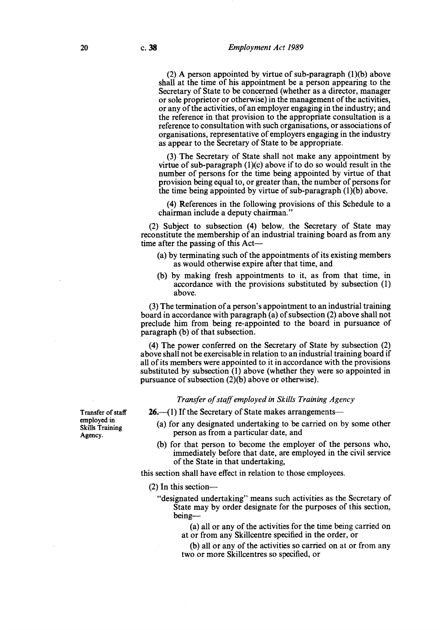(2) A person appointed by virtue of sub-paragraph (1)(b) above shall at the time of his appointment be a person appearing to the Secretary of State to be concerned (whether as a director, manager or sole proprietor or otherwise) in the management of the activities, or any of the activities, of an employer engaging in the industry; and the reference in that provision to the appropriate consultation is a reference to consultation with such organisations, or associations of organisations, representative of employers engaging in the industry as appear to the Secretary of State to be appropriate.

(3) The Secretary of State shall not make any appointment by virtue of sub-paragraph (l)(c) above if to do so would result in the number of persons for the time being appointed by virtue of that provision being equal to, or greater than, the number of persons for the time being appointed by virtue of sub-paragraph (1)(b) above.

(4) References in the following provisions of this Schedule to a chairman include a deputy chairman."

(2) Subject to subsection (4) below, the Secretary of State may reconstitute the membership of an industrial training board as from any time after the passing of this Act—

- (a) by terminating such of the appointments of its existing members as would otherwise expire after that time, and
- (b) by making fresh appointments to it, as from that time, in accordance with the provisions substituted by subsection (1) above.

(3) The termination of a person's appointment to an industrial training board in accordance with paragraph (a) of subsection (2) above shall not preclude him from being re-appointed to the board in pursuance of paragraph (b) of that subsection.

(4) The power conferred on the Secretary of State by subsection (2) above shall not be exercisable in relation to an industrial training board if all of its members were appointed to it in accordance with the provisions substituted by subsection (1) above (whether they were so appointed in pursuance of subsection (2)(b) above or otherwise).

Transfer of staff employed in Skills Training Agency

Transfer of staff 26.—(1) If the Secretary of State makes arrangements—

- employed in<br>Skills Training (a) for any designated undertaking to be carried on by some other<br>Agency. person as from a particular date, and
	- (b) for that person to become the employer of the persons who, immediately before that date, are employed in the civil service of the State in that undertaking,

this section shall have effect in relation to those employees.

(2) In this section—

"designated undertaking" means such activities as the Secretary of State may by order designate for the purposes of this section, being—

(a) all or any of the activities for the time being carried on at or from any Skilicentre specified in the order, or

(b) all or any of the activities so carried on at or from any two or more Skilicentres so specified, or

employed in .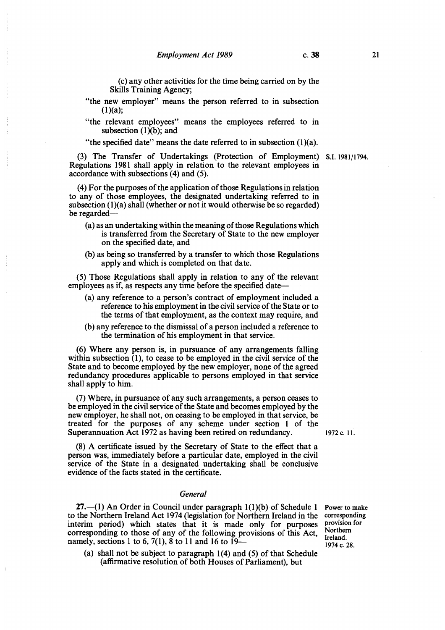(c) any other activities for the time being carried on by the Skills Training Agency;

"the new employer" means the person referred to in subsection  $(1)(a);$ 

"the relevant employees" means the employees referred to in subsection  $(1)(b)$ ; and

"the specified date" means the date referred to in subsection (1)(a).

(3) The Transfer of Undertakings (Protection of Employment) S.!. 1981/1794. Regulations 1981 shall apply in relation to the relevant employees in accordance with subsections (4) and (5).

(4) For the purposes of the application of those Regulations in relation to any of those employees, the designated undertaking referred to in subsection (1)(a) shall (whether or not it would otherwise be so regarded) be regarded—

- (a) as an undertaking within the meaning of those Regulations which is transferred from the Secretary of State to the new employer on the specified date, and
- (b) as being so transferred by a transfer to which those Regulations apply and which is completed on that date.

(5) Those Regulations shall apply in relation to any of the relevant employees as if, as respects any time before the specified date—

- (a) any reference to a person's contract of employment included a reference to his employment in the civil service of the State or to the terms of that employment, as the context may require, and
- (b) any reference to the dismissal of a person included a reference to the termination of his employment in that service.

(6) Where any person is, in pursuance of any arrangements falling within subsection (1), to cease to be employed in the civil service of the State and to become employed by the new employer, none of the agreed redundancy procedures applicable to persons employed in that service shall apply to him.

(7) Where, in pursuance of any such arrangements, a person ceases to be employed in the civil service of the State and becomes employed by the new employer, he shall not, on ceasing to be employed in that service, be treated for the purposes of any scheme under section 1 of the Superannuation Act 1972 as having been retired on redundancy. 1972 c. 11.

(8) A certificate issued by the Secretary of State to the effect that a person was, immediately before a particular date, employed in the civil service of the State in a designated undertaking shall be conclusive evidence of the facts stated in the certificate.

#### General

27.—(1) An Order in Council under paragraph  $1(1)(b)$  of Schedule 1 Power to make the Northern Ireland Act 1974 (legislation for Northern Ireland in the corresponding to the Northern Ireland Act 1974 (legislation for Northern Ireland in the corresponding interim period) which states that it is made only for nurnoses provision for interim period) which states that it is made only for purposes provision corresponding to those of any of the following provisions of this  $A_{\text{tot}}$ . Northern corresponding to those of any of the following provisions of this Act, namely, sections 1 to 6,  $7(1)$ , 8 to 11 and 16 to 19—<br>1974 c. 28.

(a) shall not be subject to paragraph 1(4) and (5) of that Schedule (affirmative resolution of both Houses of Parliament), but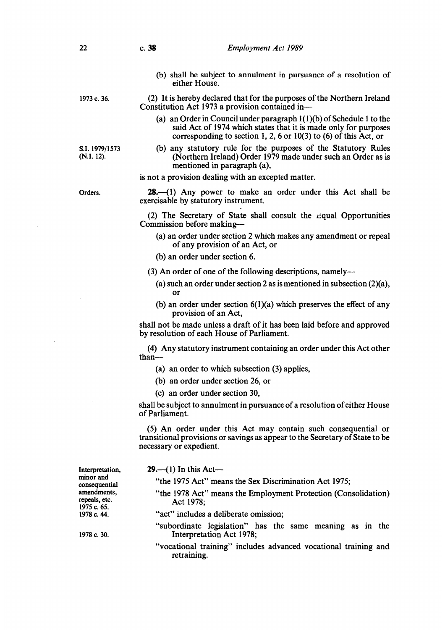(b) shall be subject to annulment in pursuance of a resolution of either House.

<sup>1973</sup>c. 36. (2) It is hereby declared that for the purposes of the Northern Ireland Constitution Act 1973 a provision contained in—

> (a) an Order in Council under paragraph  $1(1)(b)$  of Schedule 1 to the said Act of 1974 which states that it is made only for purposes corresponding to section 1, 2, 6 or 10(3) to (6) of this Act, or

S.I. 1979/1573 (b) any statutory rule for the purposes of the Statutory Rules (N.I. 12). (Northern Ireland) Order 1979 made under such an Order as is (Northern Ireland) Order 1979 made under such an Order as is mentioned in paragraph (a),

is not a provision dealing with an excepted matter.

Orders. 28.—(1) Any power to make an order under this Act shall be exercisable by statutory instrument.

> (2) The Secretary of State shall consult the  $\pm$ qual Opportunities Commission before making—

- (a) an order under section 2 which makes any amendment or repeal of any provision of an Act, or
- (b) an order under section 6.

(3) An order of one of the following descriptions, namely—

- (a) such an order under section 2 as is mentioned in subsection (2)(a), or
- (b) an order under section  $6(1)(a)$  which preserves the effect of any provision of an Act,

shall not be made unless a draft of it has been laid before and approved by resolution of each House of Parliament.

(4) Any statutory instrument containing an order under this Act other than—

(a) an order to which subsection (3) applies,

- (b) an order under section 26, or
- (c) an order under section 30,

shall be subject to annulment in pursuance of a resolution of either House of Parliament.

(5) An order under this Act may contain such consequential or transitional provisions or savings as appear to the Secretary of State to be necessary or expedient.

Interpretation, 29.—(1) In this Act—<br>minor and  $(1.1075 \text{ A})$ consequential repeals, etc. <br>1975 c. 65.

"the 1975 Act" means the Sex Discrimination Act 1975;

amendments, "the 1978 Act" means the Employment Protection (Consolidation) repeals, etc.  $A ct 1978$ .

1978 c. 44. "act" includes a deliberate omission;

- "subordinate legislation" has the same meaning as in the <sup>1978</sup>c. 30. Interpretation Act 1978;
	- "vocational training" includes advanced vocational training and retraining.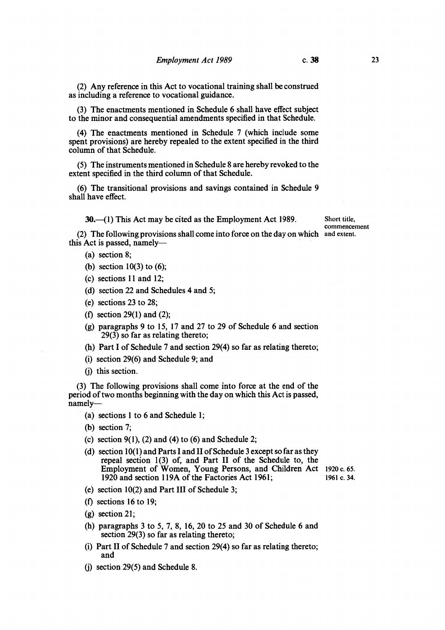(2) Any reference in this Act to vocational training shall be construed as including a reference to vocational guidance.

(3) The enactments mentioned in Schedule 6 shall have effect subject to the minor and consequential amendments specified in that Schedule.

(4) The enactments mentioned in Schedule 7 (which include some spent provisions) are hereby repealed to the extent specified in the third column of that Schedule.

(5) The instruments mentioned in Schedule 8 are hereby revoked to the extent specified in the third column of that Schedule.

(6) The transitional provisions and savings contained in Schedule 9 shall have effect.

30.—(1) This Act may be cited as the Employment Act 1989. Short title,

commencement

(2) The following provisions shall come into force on the day on which and extent. this Act is passed, namely—

- (a) section 8;
- (b) section 10(3) to (6);
- (c) sections 11 and 12;
- (d) section 22 and Schedules 4 and 5;
- (e) sections 23 to 28;
- (f) section 29(1) and (2);
- (g) paragraphs 9 to 15, 17 and 27 to 29 of Schedule 6 and section  $29(3)$  so far as relating thereto;
- (h) Part I of Schedule 7 and section 29(4) so far as relating thereto;
- (i) section 29(6) and Schedule 9; and
- (j) this section.

(3) The following provisions shall come into force at the end of the period of two months beginning with the day on which this Act is passed, namely—

- (a) sections 1 to 6 and Schedule 1;
- (b) section 7;
- (c) section  $9(1)$ , (2) and (4) to (6) and Schedule 2;
- (d) section  $10(1)$  and Parts I and II of Schedule 3 except so far as they repeal section 1(3) of, and Part I! of the Schedule to, the Employment of Women, Young Persons, and Children Act 1920 c. 65. 1920 and section 119A of the Factories Act 1961; 1961 c. 34.
- (e) section  $10(2)$  and Part III of Schedule 3:
- (f) sections 16 to 19;
- (g) section 21;
- (h) paragraphs 3 to 5, 7, 8, 16, 20 to 25 and 30 of Schedule 6 and section 29(3) so far as relating thereto;
- (i) Part II of Schedule 7 and section  $29(4)$  so far as relating thereto; and
- (j) section 29(5) and Schedule 8.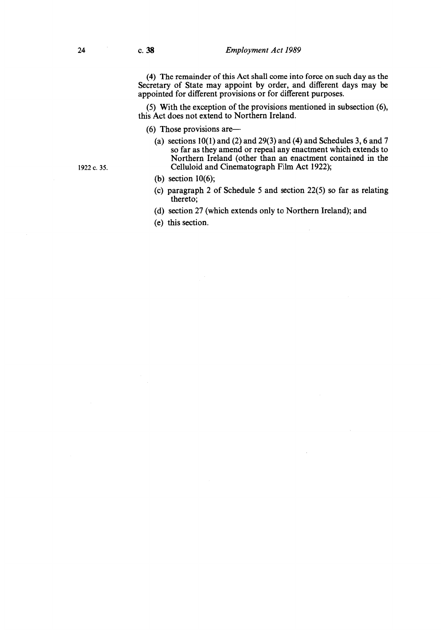(4) The remainder of this Act shall come into force on such day as the Secretary of State may appoint by order, and different days may be appointed for different provisions or for different purposes.

(5) With the exception of the provisions mentioned in subsection (6), this Act does not extend to Northern Ireland.

(6) Those provisions are—

- (a) sections  $10(1)$  and  $(2)$  and  $29(3)$  and  $(4)$  and Schedules 3, 6 and 7 so far as they amend or repeal any enactment which extends to Northern Ireland (other than an enactment contained in the 1922 c. 35. Celluloid and Cinematograph Film Act 1922);
	- (b) section 10(6);
	- (c) paragraph 2 of Schedule 5 and section 22(5) so far as relating thereto;
	- (d) section 27 (which extends only to Northern Ireland); and

(e) this section.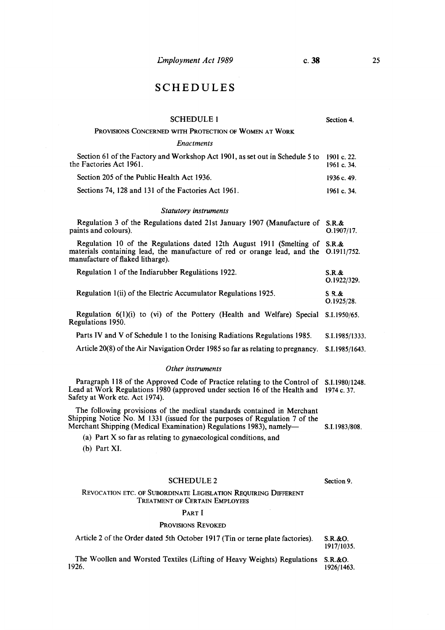## SCHEDULES

| <b>SCHEDULE 1</b>                                                                                                                                                                                                           | Section 4.                      |
|-----------------------------------------------------------------------------------------------------------------------------------------------------------------------------------------------------------------------------|---------------------------------|
| PROVISIONS CONCERNED WITH PROTECTION OF WOMEN AT WORK                                                                                                                                                                       |                                 |
| Enactments                                                                                                                                                                                                                  |                                 |
| Section 61 of the Factory and Workshop Act 1901, as set out in Schedule 5 to<br>the Factories Act 1961.                                                                                                                     | 1901 c. 22.<br>1961 c. 34.      |
| Section 205 of the Public Health Act 1936.                                                                                                                                                                                  | 1936 c. 49.                     |
| Sections 74, 128 and 131 of the Factories Act 1961.                                                                                                                                                                         | 1961 c. 34.                     |
| Statutory instruments                                                                                                                                                                                                       |                                 |
| Regulation 3 of the Regulations dated 21st January 1907 (Manufacture of<br>paints and colours).                                                                                                                             | $S.R.\&$<br>O.1907/17.          |
| Regulation 10 of the Regulations dated 12th August 1911 (Smelting of<br>materials containing lead, the manufacture of red or orange lead, and the<br>manufacture of flaked litharge).                                       | $S.R.\&$<br>O.1911/752.         |
| Regulation 1 of the Indiarubber Regulations 1922.                                                                                                                                                                           | <b>S.R.&amp;</b><br>O.1922/329. |
| Regulation 1(ii) of the Electric Accumulator Regulations 1925.                                                                                                                                                              | S.R.d.<br>O.1925/28.            |
| Regulation 6(1)(i) to (vi) of the Pottery (Health and Welfare) Special<br>Regulations 1950.                                                                                                                                 | S.I.1950/65.                    |
| Parts IV and V of Schedule 1 to the Ionising Radiations Regulations 1985.                                                                                                                                                   | S.I.1985/1333.                  |
| Article 20(8) of the Air Navigation Order 1985 so far as relating to pregnancy.                                                                                                                                             | S.I.1985/1643.                  |
| Other instruments                                                                                                                                                                                                           |                                 |
| Paragraph 118 of the Approved Code of Practice relating to the Control of<br>Lead at Work Regulations 1980 (approved under section 16 of the Health and<br>Safety at Work etc. Act 1974).                                   | S.I.1980/1248.<br>1974 c. 37.   |
| The following provisions of the medical standards contained in Merchant<br>Shipping Notice No. M 1331 (issued for the purposes of Regulation 7 of the<br>Merchant Shipping (Medical Examination) Regulations 1983), namely- | S.I.1983/808.                   |
| (a) Part X so far as relating to gynaecological conditions, and                                                                                                                                                             |                                 |
| (b) Part XI.                                                                                                                                                                                                                |                                 |
|                                                                                                                                                                                                                             |                                 |
| <b>SCHEDULE 2</b>                                                                                                                                                                                                           | Section 9.                      |
| REVOCATION ETC. OF SUBORDINATE LEGISLATION REQUIRING DIFFERENT<br><b>TREATMENT OF CERTAIN EMPLOYEES</b>                                                                                                                     |                                 |
| PART I                                                                                                                                                                                                                      |                                 |
| <b>PROVISIONS REVOKED</b>                                                                                                                                                                                                   |                                 |
| Article 2 of the Order dated 5th October 1917 (Tin or terne plate factories).                                                                                                                                               | S.R.&O.<br>1917/1035.           |

The Woollen and Worsted Textiles (Lifting of Heavy Weights) Regulations S.R.&O. 1926. 1926/1463.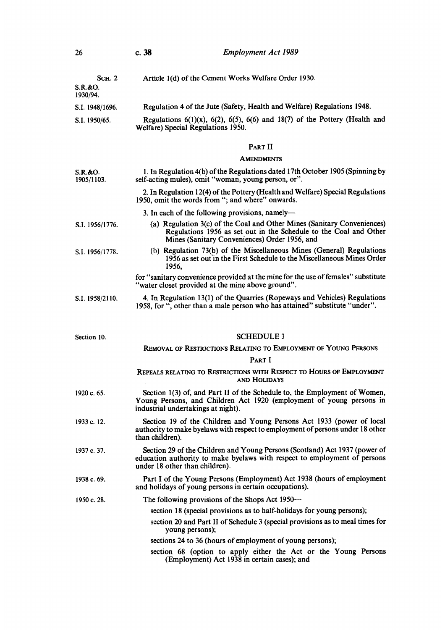| 26                               | c.38                               | <b>Employment Act 1989</b>                                                                                                                                                                    |
|----------------------------------|------------------------------------|-----------------------------------------------------------------------------------------------------------------------------------------------------------------------------------------------|
|                                  |                                    |                                                                                                                                                                                               |
| SCH. 2                           |                                    | Article 1(d) of the Cement Works Welfare Order 1930.                                                                                                                                          |
| <b>S.R.&amp;O.</b><br>1930/94.   |                                    |                                                                                                                                                                                               |
| S.I. 1948/1696.                  |                                    | Regulation 4 of the Jute (Safety, Health and Welfare) Regulations 1948.                                                                                                                       |
| S.I. 1950/65.                    | Welfare) Special Regulations 1950. | Regulations $6(1)(x)$ , $6(2)$ , $6(5)$ , $6(6)$ and 18(7) of the Pottery (Health and                                                                                                         |
|                                  |                                    | <b>PART II</b>                                                                                                                                                                                |
|                                  |                                    | <b>AMENDMENTS</b>                                                                                                                                                                             |
| <b>S.R.&amp;O.</b><br>1905/1103. |                                    | 1. In Regulation 4(b) of the Regulations dated 17th October 1905 (Spinning by<br>self-acting mules), omit "woman, young person, or".                                                          |
|                                  |                                    | 2. In Regulation 12(4) of the Pottery (Health and Welfare) Special Regulations<br>1950, omit the words from "; and where" onwards.                                                            |
|                                  |                                    | 3. In each of the following provisions, namely-                                                                                                                                               |
| S.I. 1956/1776.                  |                                    | (a) Regulation 3(c) of the Coal and Other Mines (Sanitary Conveniences)<br>Regulations 1956 as set out in the Schedule to the Coal and Other<br>Mines (Sanitary Conveniences) Order 1956, and |
| S.I. 1956/1778.                  | 1956,                              | (b) Regulation 73(b) of the Miscellaneous Mines (General) Regulations<br>1956 as set out in the First Schedule to the Miscellaneous Mines Order                                               |
|                                  |                                    | for "sanitary convenience provided at the mine for the use of females" substitute<br>"water closet provided at the mine above ground".                                                        |
| S.I. 1958/2110.                  |                                    | 4. In Regulation 13(1) of the Quarries (Ropeways and Vehicles) Regulations<br>1958, for ", other than a male person who has attained" substitute "under".                                     |
| Section 10.                      |                                    | <b>SCHEDULE 3</b>                                                                                                                                                                             |
|                                  |                                    | REMOVAL OF RESTRICTIONS RELATING TO EMPLOYMENT OF YOUNG PERSONS                                                                                                                               |
|                                  |                                    | PART I                                                                                                                                                                                        |
|                                  |                                    | REPEALS RELATING TO RESTRICTIONS WITH RESPECT TO HOURS OF EMPLOYMENT<br>AND HOLIDAYS                                                                                                          |
| 1920 c. 65.                      | industrial undertakings at night). | Section 1(3) of, and Part II of the Schedule to, the Employment of Women,<br>Young Persons, and Children Act 1920 (employment of young persons in                                             |
| 1933 c. 12.                      | than children).                    | Section 19 of the Children and Young Persons Act 1933 (power of local<br>authority to make byelaws with respect to employment of persons under 18 other                                       |
| 1937 c. 37.                      | under 18 other than children).     | Section 29 of the Children and Young Persons (Scotland) Act 1937 (power of<br>education authority to make byelaws with respect to employment of persons                                       |
| 1938 c. 69.                      |                                    | Part I of the Young Persons (Employment) Act 1938 (hours of employment<br>and holidays of young persons in certain occupations).                                                              |
| 1950 c. 28.                      |                                    | The following provisions of the Shops Act 1950—                                                                                                                                               |
|                                  |                                    | section 18 (special provisions as to half-holidays for young persons);                                                                                                                        |
|                                  | young persons);                    | section 20 and Part II of Schedule 3 (special provisions as to meal times for                                                                                                                 |
|                                  |                                    | sections 24 to 36 (hours of employment of young persons);                                                                                                                                     |
|                                  |                                    | section 68 (option to apply either the Act or the Young Persons<br>(Employment) Act 1938 in certain cases); and                                                                               |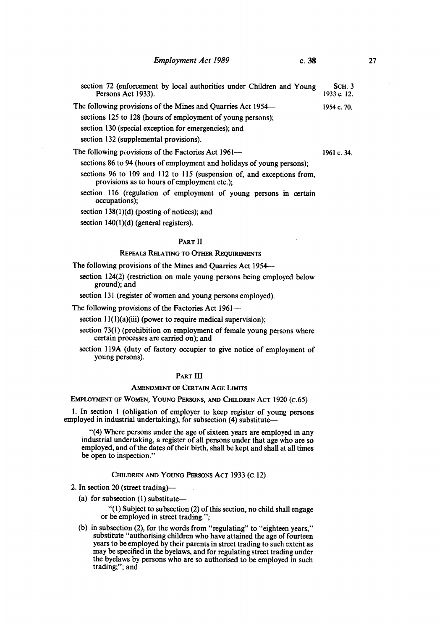| section 72 (enforcement by local authorities under Children and Young<br>Persons Act 1933). | SCH.3<br>1933 c. 12. |
|---------------------------------------------------------------------------------------------|----------------------|
| The following provisions of the Mines and Quarries Act 1954—                                | 1954 c. 70.          |
| sections 125 to 128 (hours of employment of young persons);                                 |                      |
| section 130 (special exception for emergencies); and                                        |                      |
| section 132 (supplemental provisions).                                                      |                      |
|                                                                                             |                      |

The following provisions of the Factories Act  $1961$ — 1961 c. 34.

sections 86 to 94 (hours of employment and holidays of young persons);

sections 96 to 109 and 112 to 115 (suspension of, and exceptions from, provisions as to hours of employment etc.);

section 116 (regulation of employment of young persons in certain occupations);

section  $138(1)(d)$  (posting of notices); and

section 140(1)(d) (general registers).

#### PART II

## REPEALS RELATiNG TO OTHER REQUIREMENTS

The following provisions of the Mines and Quarries Act 1954—

- section 124(2) (restriction on male young persons being employed below ground); and
- section 131 (register of women and young persons employed).

The following provisions of the Factories Act 1961—

section  $11(1)(a)(iii)$  (power to require medical supervision);

- section 73(1) (prohibition on employment of female young persons where certain processes are carried on); and
- section 119A (duty of factory occupier to give notice of employment of young persons).

#### PART III

#### AMENDMENT OF CERTAIN AGE LIMITS

EMPLOYMENT OF WOMEN, YOUNG PERSONS, AND CHILDREN ACT 1920 (c.65)

1. In section 1 (obligation of employer to keep register of young persons employed in industrial undertaking), for subsection (4) substitute-

"(4) Where persons under the age of sixteen years are employed in any industrial undertaking, a register of all persons under that age who are so employed, and of the dates of their birth, shall be kept and shall at all times be open to inspection."

#### CHILDREN AND YOUNG PERSONS ACT 1933 (c.12)

2. In section 20 (street trading)—

- (a) for subsection (1) substitute—
	- "(1) Subject to subsection (2) of this section, no child shall engage or be employed in street trading.";
- (b) in subsection (2), for the words from "regulating" to "eighteen years," substitute "authorising children who have attained the age of fourteen years to be employed by their parents in street trading to such extent as may be specified in the byelaws, and for regulating street trading under the byelaws by persons who are so authorised to be employed in such trading;"; and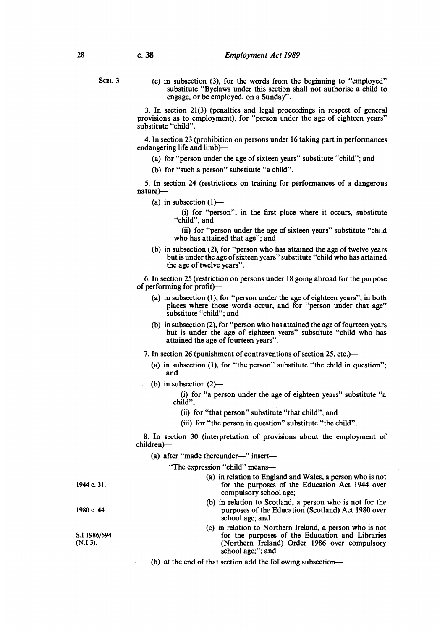SCH. 3 (c) in subsection (3), for the words from the beginning to "employed" substitute "Byelaws under this section shall not authorise a child to engage, or be employed, on a Sunday".

> 3. In section 21(3) (penalties and legal proceedings in respect of general provisions as to employment), for "person under the age of eighteen years" substitute "child".

> 4. In section 23 (prohibition on persons under 16 taking part in performances endangering life and limb)—

(a) for "person under the age of sixteen years" substitute "child"; and

(b) for "such a person" substitute "a child".

5. In section 24 (restrictions on training for performances of a dangerous nature)—

#### (a) in subsection  $(1)$ —

(i) for "person", in the first place where it occurs, substitute "child", and

(ii) for "person under the age of sixteen years" substitute "child who has attained that age"; and

(b) in subsection (2), for "person who has attained the age of twelve years but is under the age of sixteen years" substitute "child who has attained the age of twelve years".

6. In section 25 (restriction on persons under 18 going abroad for the purpose of performing for profit)—

- (a) in subsection (1), for "person under the age of eighteen years", in both places where those words occur, and for "person under that age" substitute "child"; and
- (b) in subsection (2), for "person who has attained the age of fourteen years but is under the age of eighteen years" substitute "child who has attained the age of fourteen years".

7. In section 26 (punishment of contraventions of section 25, etc.)—

- (a) in subsection (1), for "the person" substitute "the child in question"; and
- (b) in subsection (2)—

(i) for "a person under the age of eighteen years" substitute "a child",

- (ii) for "that person" substitute "that child", and
- (iii) for "the person in question" substitute "the child".

8. In section 30 (interpretation of provisions about the employment of children)—

(a) after "made thereunder—" insert—

"The expression "child" means—

| 1944 c. 31.              | (a) in relation to England and Wales, a person who is not<br>for the purposes of the Education Act 1944 over<br>compulsory school age;                                            |
|--------------------------|-----------------------------------------------------------------------------------------------------------------------------------------------------------------------------------|
| 1980 c. 44.              | (b) in relation to Scotland, a person who is not for the<br>purposes of the Education (Scotland) Act 1980 over<br>school age; and                                                 |
| S.I 1986/594<br>(N.I.3). | (c) in relation to Northern Ireland, a person who is not<br>for the purposes of the Education and Libraries<br>(Northern Ireland) Order 1986 over compulsory<br>school age;"; and |
|                          | (b) at the end of that section add the following subsection—                                                                                                                      |
|                          |                                                                                                                                                                                   |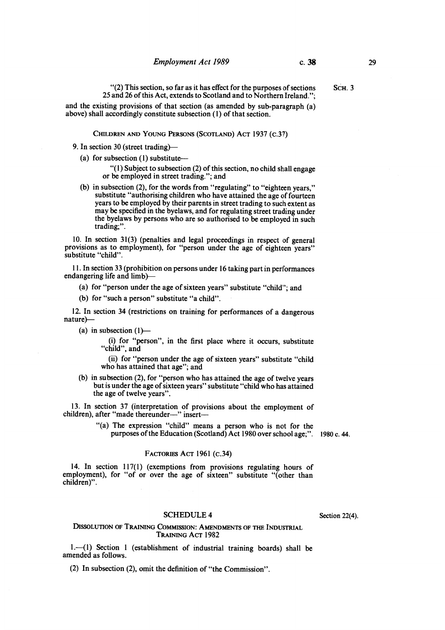"(2) This section, so far as it has effect for the purposes of sections SCH. 3 25 and 26 of this Act, extends to Scotland and to Northern Ireland.";

and the existing provisions of that section (as amended by sub-paragraph (a) above) shall accordingly constitute subsection (1) of that section.

CHILDREN AND YOUNG PERSONS (SCOTLAND) ACT 1937 (c.37)

- 9. In section 30 (street trading)—
	- (a) for subsection (1) substitute—
		- "(1) Subject to subsection (2) of this section, no child shall engage or be employed in street trading."; and
	- (b) in subsection (2), for the words from "regulating" to "eighteen years," substitute "authorising children who have attained the age of fourteen years to be employed by their parents in street trading to such extent as may be specified in the byelaws, and for regulating street trading under the byelaws by persons who are so authorised to be employed in such trading;".

10. In section 31(3) (penalties and legal proceedings in respect of general provisions as to employment), for "person under the age of eighteen years" substitute "child".

11. In section 33 (prohibition on persons under 16 taking part in performances endangering life and limb)—

- (a) for "person under the age of sixteen years" substitute "child"; and
- (b) for "such a person" substitute "a child".

12. In section 34 (restrictions on training for performances of a dangerous nature)—

(a) in subsection  $(1)$ —

(i) for "person", in the first place where it occurs, substitute "child", and

(ii) for "person under the age of sixteen years" substitute "child who has attained that age"; and

(b) in subsection (2), for "person who has attained the age of twelve years but is under the age of sixteen years" substitute "child who has attained the age of twelve years".

13. In section 37 (interpretation of provisions about the employment of children), after "made thereunder—" insert—

> "(a) The expression "child" means a person who is not for the purposes of the Education (Scotland) Act 1980 over school age;". 1980 c. 44.

#### FACTORIES ACT 1961 (c.34)

14. In section 117(1) (exemptions from provisions regulating hours of employment), for "of or over the age of sixteen" substitute "(other than children)".

#### SCHEDULE 4 Section 22(4).

DISSOLUTION OF TRAINING COMMISSION: AMENDMENTS OF THE INDUSTRIAL TRAINING ACT 1982

<sup>I</sup>.—(1) Section 1 (establishment of industrial training boards) shall be amended as follows.

(2) In subsection (2), omit the definition of "the Commission".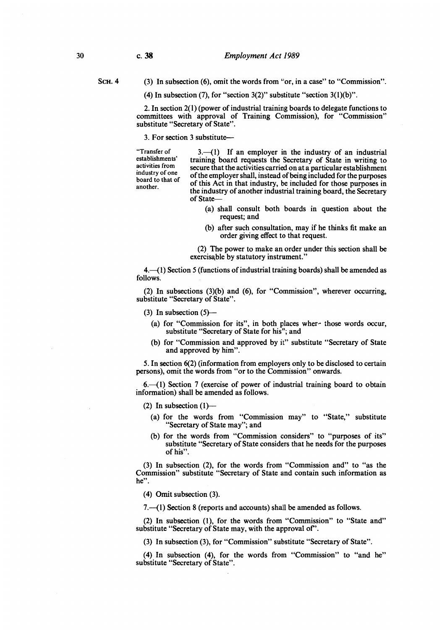SCH. 4 (3) In subsection (6), omit the words from "or, in a case" to "Commission".

(4) In subsection (7), for "section 3(2)" substitute "section 3(1)(b)".

2. In section 2(1) (power of industrial training boards to delegate functions to committees with approval of Training Commission), for "Commission" substitute "Secretary of State".

3. For section 3 substitute—

another

"Transfer of  $3-(1)$  If an employer in the industry of an industrial establishments' training board requests the Secretary of State in writing to establishments' training board requests the Secretary of State in writing to activities from secure that the activities carried on at a particular establishment industry of one of the employer shall, instead of being included for the purposes board to that of of this Act in that industry, be included for those purposes in the industry of another industrial training board, the Secretary of State—

- (a) shall consult both boards in question about the request; and
- (b) after such consultation, may if he thinks fit make an order giving effect to that request.

(2) The power to make an order under this section shall be exercisable by statutory instrument."

4.—(1) Section 5 (functions of industrial training boards) shall be amended as follows.

(2) In subsections (3)(b) and (6), for "Commission", wherever occurring, substitute "Secretary of State".

(3) In subsection  $(5)$ —

- (a) for "Commission for its", in both places those words occur, substitute "Secretary of State for his"; and
- (b) for "Commission and approved by it" substitute "Secretary of State and approved by him".

5. In section 6(2) (information from employers only to be disclosed to certain persons), omit the words from "or to the Commission" onwards.

6.—(1) Section 7 (exercise of power of industrial training board to obtain information) shall be amended as follows.

(2) In subsection  $(1)$ —

- (a) for the words from "Commission may" to "State," substitute "Secretary of State may"; and
- (b) for the words from "Commission considers" to "purposes of its" substitute "Secretary of State considers that he needs for the purposes of his".

(3) In subsection (2), for the words from "Commission and" to "as the Commission" substitute "Secretary of State and contain such information as he".

(4) Omit subsection (3).

7.—{1) Section 8 (reports and accounts) shall be amended as follows.

(2) In subsection (1), for the words from "Commission" to "State and" substitute "Secretary of State may, with the approval of".

(3) In subsection (3), for "Commission" substitute "Secretary of State".

(4) In subsection (4), for the words from "Commission" to "and he" substitute "Secretary of State".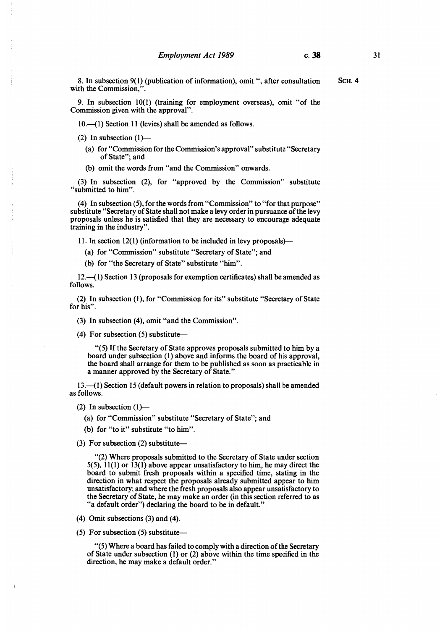8. In subsection 9(1) (publication of information), omit ", after consultation ScH. 4 with the Commission.".

9. In subsection 10(1) (training for employment overseas), omit "of the Commission given with the approval".

10.—(1) Section 11 (levies) shall be amended as follows.

- (2) In subsection  $(1)$ 
	- (a) for "Commission for the Commission's approval" substitute "Secretary of State"; and
	- (b) omit the words from "and the Commission" onwards.

(3) In subsection (2), for "approved by the Commission" substitute "submitted to him".

(4) In subsection (5), for the words from "Commission" to "for that purpose" substitute "Secretary of State shall not make a levy order in pursuance of the levy proposals unless he is satisfied that they are necessary to encourage adequate training in the industry".

11. In section 12(1) (information to be included in levy proposals)—

- (a) for "Commission" substitute "Secretary of State"; and
- (b) for "the Secretary of State" substitute "him".

<sup>1</sup>2.—( 1) Section 13 (proposals for exemption certificates) shall be amended as follows.

(2) In subsection (1), for "Commissiop for its" substitute "Secretary of State for his".

(3) In subsection (4), omit "and the Commission".

(4) For subsection (5) substitute—

"(5) If the Secretary of State approves proposals submitted to him by a board under subsection (1) above and informs the board of his approval, the board shall arrange for them to be published as soon as practicable in a manner approved by the Secretary of State."

<sup>1</sup>3.—( 1) Section 15 (default powers in relation to proposals) shall be amended as follows.

(2) In subsection  $(1)$ —

(a) for "Commission" substitute "Secretary of State"; and

(b) for "to it" substitute "to him".

(3) For subsection (2) substitute—

"(2) Where proposals submitted to the Secretary of State under section 5(5),  $11(1)$  or  $13(1)$  above appear unsatisfactory to him, he may direct the board to submit fresh proposals within a specified time, stating in the direction in what respect the proposals already submitted appear to him unsatisfactory; and where the fresh proposals also appear unsatisfactory to the Secretary of State, he may make an order (in this section referred to as "a default order") declaring the board to be in default."

- (4) Omit subsections (3) and (4).
- (5) For subsection (5) substitute—

"(5) Where a board has failed to comply with a direction of the Secretary of State under subsection (1) or (2) above within the time specified in the direction, he may make a default order."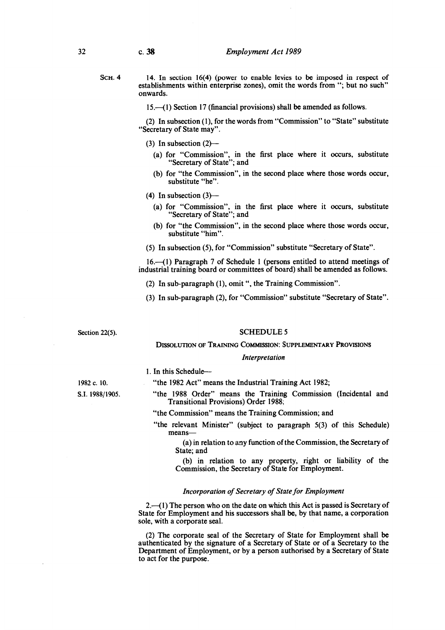SCH. 4 14. In section 16(4) (power to enable levies to be imposed in respect of establishments within enterprise zones), omit the words from "; but no such" onwards.

<sup>1</sup>5.—(1) Section 17 (financial provisions) shall be amended as follows.

(2) In subsection (1), for the words from "Commission" to "State" substitute "Secretary of State may".

(3) In subsection  $(2)$ —

- (a) for "Commission", in the first place where it occurs, substitute "Secretary of State"; and
- (b) for "the Commission", in the second place where those words occur, substitute "he".

 $(4)$  In subsection  $(3)$ —

- (a) for "Commission", in the first place where it occurs, substitute "Secretary of State"; and
- (b) for "the Commission", in the second place where those words occur, substitute "him".
- (5) In subsection (5), for "Commission" substitute "Secretary of State".

<sup>1</sup>6.—( 1) Paragraph 7 of Schedule 1 (persons entitled to attend meetings of industrial training board or committees of board) shall be amended as follows.

(2) In sub-paragraph (1), omit ", the Training Commission".

(3) In sub-paragraph (2), for "Commission" substitute "Secretary of State".

#### Section 22(5). SCHEDULE 5

#### DISSOLUTION OF TRAINING COMMisSIoN: SUPPLEMENTARY PROVISIONS

#### Interpretation

1. In this Schedule—

<sup>1982</sup>c. 10. "the 1982 Act" means the Industrial Training Act 1982;

S.I. 1988/1905. "the 1988 Order" means the Training Commission (Incidental and Transitional Provisions) Order 1988;

"the Commission" means the Training Commission; and

"the relevant Minister" (subject to paragraph 5(3) of this Schedule) means—

(a) in relation to any function of the Commission, the Secretary of State; and

(b) in relation to any property, right or liability of the Commission, the Secretary of State for Employment.

#### Incorporation of Secretary of State for Employment

2.—(1) The person who on the date on which this Act is passed is Secretary of State for Employment and his successors shall be, by that name, a corporation sole, with a corporate seal.

(2) The corporate seal of the Secretary of State for Employment shall be authenticated by the signature of a Secretary of State or of a Secretary to the Department of Employment, or by a person authorised by a Secretary of State to act for the purpose.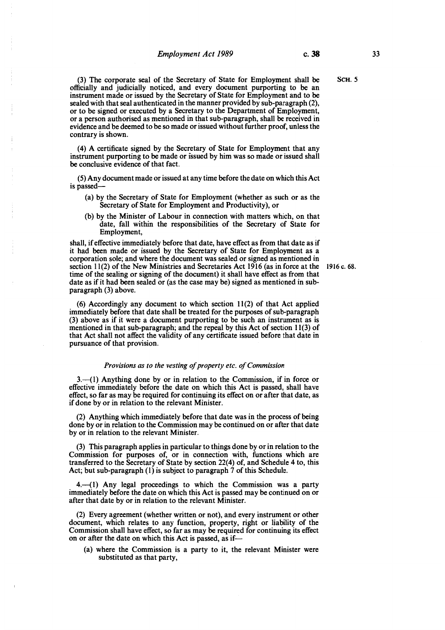(3) The corporate seal of the Secretary of State for Employment shall be SCH. <sup>5</sup> officially and judicially noticed, and every document purporting to be an instrument made or issued by the Secretary of State for Employment and to be sealed with that seal authenticated in the manner provided by sub-paragraph (2), or to be signed or executed by a Secretary to the Department of Employment, or a person authorised as mentioned in that sub-paragraph, shall be received in evidence and be deemed to be so made or issued without further proof, unless the contrary is shown.

(4) A certificate signed by the Secretary of State for Employment that any instrument purporting to be made or issued by him was so made or issued shall be conclusive evidence of that fact.

(5) Any document made or issued at any time before the date on which this Act is passed—

- (a) by the Secretary of State for Employment (whether as such or as the Secretary of State for Employment and Productivity), or
- (b) by the Minister of Labour in connection with matters which, on that date, fall within the responsibilities of the Secretary of State for Employment,

shall, if effective immediately before that date, have effect as from that date as if it had been made or issued by the Secretary of State for Employment as a corporation sole; and where the document was sealed or signed as mentioned in section 11(2) of the New Ministries and Secretaries Act 1916 (as in force at the 1916 c. 68. time of the sealing or signing of the document) it shall have effect as from that date as if it had been sealed or (as the case may be) signed as mentioned in subparagraph (3) above.

 $(6)$  Accordingly any document to which section 11(2) of that Act applied immediately before that date shall be treated for the purposes of sub-paragraph (3) above as if it were a document purporting to be such an instrument as is mentioned in that sub-paragraph; and the repeal by this Act of section 11(3) of that Act shall not affect the validity of any certificate issued before that date in pursuance of that provision.

#### Provisions as to the vesting of property etc. of Commission

3.—(1) Anything done by or in relation to the Commission, if in force or effective immediately before the date on which this Act is passed, shall have effect, so far as may be required for continuing its effect on or after that date, as if done by or in relation to the relevant Minister.

(2) Anything which immediately before that date was in the process of being done by or in relation to the Commission may be continued on or after that date by or in relation to the relevant Minister.

(3) This paragraph applies in particular to things done by or in relation to the Commission for purposes of, or in connection with, functions which are transferred to the Secretary of State by section 22(4) of, and Schedule 4 to, this Act; but sub-paragraph (1) is subject to paragraph 7 of this Schedule.

4.—(l) Any legal proceedings to which the Commission was a party immediately before the date on which this Act is passed may be continued on or after that date by or in relation to the relevant Minister.

(2) Every agreement (whether written or not), and every instrument or other document, which relates to any function, property, right or liability of the Commission shall have effect, so far as may be required for continuing its effect on or after the date on which this Act is passed, as if—

(a) where the Commission is a party to it, the relevant Minister were substituted as that party,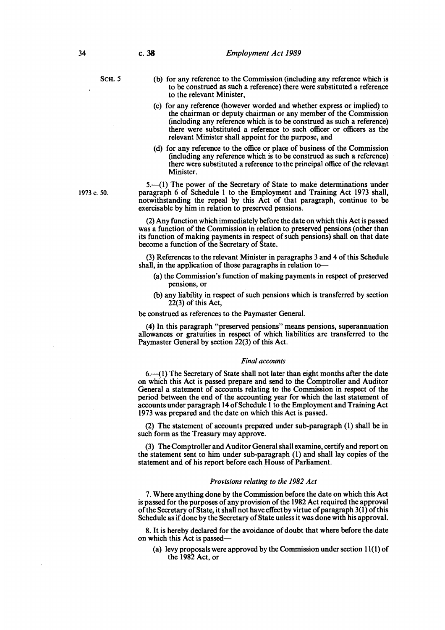- SCH. 5 (b) for any reference to the Commission (including any reference which is to be construed as such a reference) there were substituted a reference to the relevant Minister,
	- (c) for any reference (however worded and whether express or implied) to the chairman or deputy chairman or any member of the Commission (including any reference which is to be construed as such a reference) there were substituted a reference to such officer or officers as the relevant Minister shall appoint for the purpose, and
	- (d) for any reference to the office or place of business of the Commission (including any reference which is to be construed as such a reference) there were substituted a reference to the principal office of the relevant Minister.

5.—(l) The power of the Secretary of State to make determinations under 1973 c. 50. paragraph 6 of Schedule I to the Employment and Training Act 1973 shall, notwithstanding the repeal by this Act of that paragraph, continue to be exercisable by him in relation to preserved pensions.

> (2) Any function which immediately before the date on which this Act is passed was a function of the Commission in relation to preserved pensions (other than its function of making payments in respect of such pensions) shall on that date become a function of the Secretary of State.

> (3) References to the relevant Minister in paragraphs 3 and 4 of this Schedule shall, in the application of those paragraphs in relation to—

- (a) the Commission's function of making payments in respect of preserved pensions, or
- (b) any liability in respect of such pensions which is transferred by section  $22(3)$  of this Act,

be construed as references to the Paymaster General.

(4) In this paragraph "preserved pensions" means pensions, superannuation allowances or gratuities in respect of which liabilities are transferred to the Paymaster General by section 22(3) of this Act.

#### Final accounts

 $6.$ — $(1)$  The Secretary of State shall not later than eight months after the date on which this Act is passed prepare and send to the Comptroller and Auditor General a statement of accounts relating to the Commission in respect of the period between the end of the accounting year for which the last statement of accounts under paragraph 14 of Schedule I to the Employment and Training Act 1973 was prepared and the date on which this Act is passed.

(2) The statement of accounts prepared under sub-paragraph  $(1)$  shall be in such form as the Treasury may approve.

(3) The Comptroller and Auditor General shall examine, certify and report on the statement sent to him under sub-paragraph (1) and shall lay copies of the statement and of his report before each House of Parliament.

#### Provisions relating to the 1982 Act

7. Where anything done by the Commission before the date on which this Act is passed for the purposes of any provision of the 1982 Act required the approval of the Secretary of State, it shall not have effect by virtue of paragraph 3(1) of this Schedule as if done by the Secretary of State unless it was done with his approval.

8. It is hereby declared for the avoidance of doubt that where before the date on which this Act is passed—

(a) levy proposals were approved by the Commission under section 11(1) of the 1982 Act, or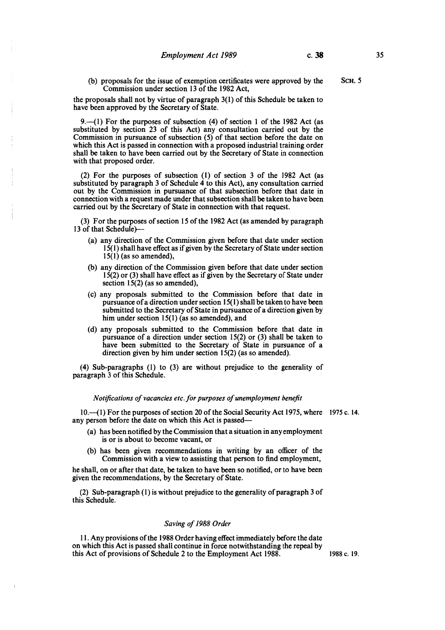(b) proposals for the issue of exemption certificates were approved by the ScR. <sup>5</sup> Commission under section 13 of the 1982 Act,

the proposals shall not by virtue of paragraph 3(1) of this Schedule be taken to have been approved by the Secretary of State.

9.—(1) For the purposes of subsection (4) of section 1 of the 1982 Act (as substituted by section 23 of this Act) any consultation carried out by the Commission in pursuance of subsection (5) of that section before the date on which this Act is passed in connection with a proposed industrial training order shall be taken to have been carried out by the Secretary of State in connection with that proposed order.

(2) For the purposes of subsection (1) of section 3 of the 1982 Act (as substituted by paragraph 3 of Schedule  $\hat{4}$  to this Act), any consultation carried out by the Commission in pursuance of that subsection before that date in connection with a request made under that subsection shall be taken to have been carried out by the Secretary of State in connection with that request.

(3) For the purposes of section 15 of the 1982 Act (as amended by paragraph 13 of that Schedule)—

- (a) any direction of the Commission given before that date under section 15(1) shall have effect as if given by the Secretary of State under section  $15(1)$  (as so amended),
- (b) any direction of the Commission given before that date under section 15(2) or (3) shall have effect as if given by the Secretary of State under section 15(2) (as so amended),
- (c) any proposals submitted to the Commission before that date in pursuance of a direction under section 15(1) shall be taken to have been submitted to the Secretary of State in pursuance of a direction given by him under section 15(1) (as so amended), and
- (d) any proposals submitted to the Commission before that date in pursuance of a direction under section 15(2) or (3) shall be taken to have been submitted to the Secretary of State in pursuance of a direction given by him under section 15(2) (as so amended).

(4) Sub-paragraphs (1) to (3) are without prejudice to the generality of paragraph 3 of this Schedule.

#### Notifications of vacancies etc. for purposes of unemployment benefit

l0.—(1) For the purposes of section 20 of the Social Security Act 1975, where 1975 c. 14. any person before the date on which this Act is passed—

- (a) has been notified by the Commission that a situation in any employment is or is about to become vacant, or
- (b) has been given recommendations in writing by an officer of the Commission with a view to assisting that person to find employment,

he shall, on or after that date, be taken to have been so notified, or to have been given the recommendations, by the Secretary of State.

(2) Sub-paragraph (1) is without prejudice to the generality of paragraph 3 of this Schedule.

#### Saving of 1988 Order

11. Any provisions of the 1988 Order having effect immediately before the date on which this Act is passed shall continue in force notwithstanding the repeal by this Act of provisions of Schedule 2 to the Employment Act 1988. 1988 c. 19.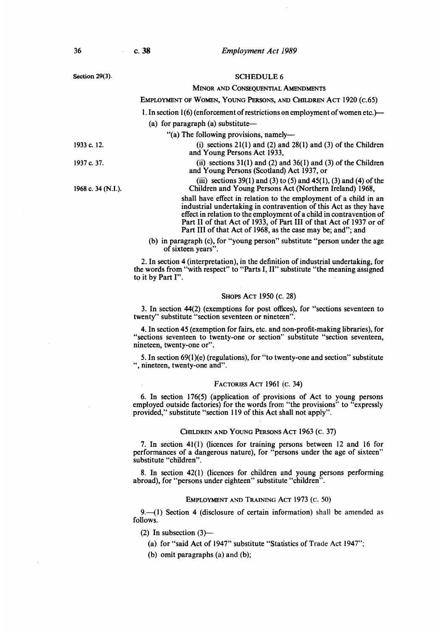#### Section 29(3). SCHEDULE 6

## MINOR AND CONSEQUENTIAL AMENDMENTS

## EMPLOYMENT OF WOMEN, YOUNG PERSONS, AND CHILDREN AcT 1920 (c.65)

1. In section 1(6) (enforcement of restrictions on employment of women etc.)—

(a) for paragraph (a) substitute—

"(a) The following provisions, namely.—

and Young Persons Act 1933,

1933 c. 12. (i) sections  $21(1)$  and (2) and  $28(1)$  and (3) of the Children

1937c. 37. (ii) sections 31(1) and (2) and 36(1) and (3) of the Children and Young Persons (Scotland) Act 1937, or

(iii) sections  $39(1)$  and  $(3)$  to  $(5)$  and  $45(1)$ ,  $(3)$  and  $(4)$  of the 1968 c. 34 (N.!.). Children and Young Persons Act (Northern Ireland) 1968,

> shall have effect in relation to the employment of a child in an industrial undertaking in contravention of this Act as they have effect in relation to the employment of a child in contravention of Part II of that Act of 1933, of Part III of that Act of 1937 or of Part III of that Act of 1968, as the case may be; and"; and

(b) in paragraph (c), for "young person" substitute "person under the age of sixteen years".

2. In section 4 (interpretation), in the definition of industrial undertaking, for the words from "with respect" to "Parts I, II" substitute "the meaning assigned to it by Part I".

#### SHOPS ACT 1950 (c. 28)

3. In section 44(2) (exemptions for post offices), for "sections seventeen to twenty" substitute "section seventeen or nineteen".

4. In section 45 (exemption for fairs, etc. and non-profit-making libraries), for "sections seventeen to twenty-one or section" substitute "section seventeen, nineteen, twenty-one or".

5. In section 69(1)(e) (regulations), for "to twenty-one and section" substitute ", nineteen, twenty-one and".

#### FACTORIES ACT 1961 (C. 34)

6. In section 176(5) (application of provisions of Act to young persons employed outside factories) for the words from "the provisions" to "expressly provided," substitute "section 119 of this Act shall not apply".

#### CHILDREN AND YOUNG PERSONS ACT 1963 (c. 37)

7. In section 41(1) (licences for training persons between 12 and 16 for performances of a dangerous nature), for "persons under the age of sixteen" substitute "children".

8. In section 42(1) (licences for children and young persons performing abroad), for "persons under eighteen" substitute "children".

#### EMPLOYMENT AND TRAINING ACT 1973 (c. 50)

9.—(l) Section 4 (disclosure of certain information) shall be amended as follows.

(2) In subsection  $(3)$ —

- (a) for "said Act of 1947" substitute "Statistics of Trade Act 1947";
- (b) omit paragraphs (a) and (b);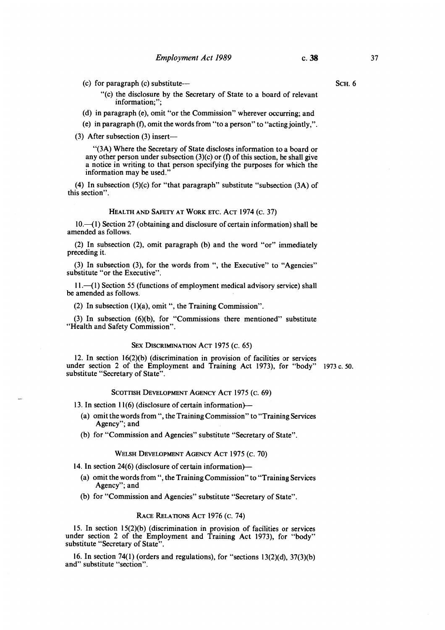(c) for paragraph (c) substitute— SCH. 6

"(c) the disclosure by the Secretary of State to a board of relevant information;";

(d) in paragraph (e), omit "or the Commission" wherever occurring; and

(e) in paragraph (f), omit the words from "to a person" to "acting jointly,".

(3) After subsection (3) insert—

"(3A) Where the Secretary of State discloses information to a board or any other person under subsection  $(3)(c)$  or  $(f)$  of this section, he shall give a notice in writing to that person specifying the purposes for which the information may be used."

(4) In subsection (5)(c) for "that paragraph" substitute "subsection (3A) of this section".

#### HEALTH AND SAFETY AT WORK ETC. ACT 1974 (c. 37)

<sup>1</sup>0.—(l) Section 27 (obtaining and disclosure of certain information) shall be amended as follows.

(2) In subsection (2), omit paragraph (b) and the word "or" immediately preceding it.

(3) In subsection (3), for the words from ", the Executive" to "Agencies" substitute "or the Executive".

<sup>11</sup>.—(l) Section 55 (functions of employment medical advisory service) shall be amended as follows.

(2) In subsection  $(1)(a)$ , omit ", the Training Commission".

(3) In subsection (6)(b), for "Commissions there mentioned" substitute "Health and Safety Commission".

#### SEX DISCRIMINATION ACT 1975 (C. 65)

12. In section  $16(2)(b)$  (discrimination in provision of facilities or services under section 2 of the Employment and Training Act 1973), for "body" 1973 c. 50. substitute "Secretary of State".

SCOTTISH DEVELOPMENT AGENCY ACT 1975 (C. 69)

13. In section 11(6) (disclosure of certain information)—

- (a) omit the words from ", the Training Commission" to "Training Services Agency"; and
- (b) for "Commission and Agencies" substitute "Secretary of State".

#### WELSH DEVELOPMENT AGENCY ACT 1975 (C. 70)

14. In section 24(6) (disclosure of certain information)—

- (a) omit the words from ", the Training Commission" to "Training Services Agency"; and
- (b) for "Commission and Agencies" substitute "Secretary of State".

## RACE RELATIONS ACT 1976 (C. 74)

15. In section 1 5(2)(b) (discrimination in provision of facilities or services under section 2 of the Employment and Training Act 1973), for "body" substitute "Secretary of State".

16. In section 74(1) (orders and regulations), for "sections  $13(2)(d)$ ,  $37(3)(b)$ and" substitute "section".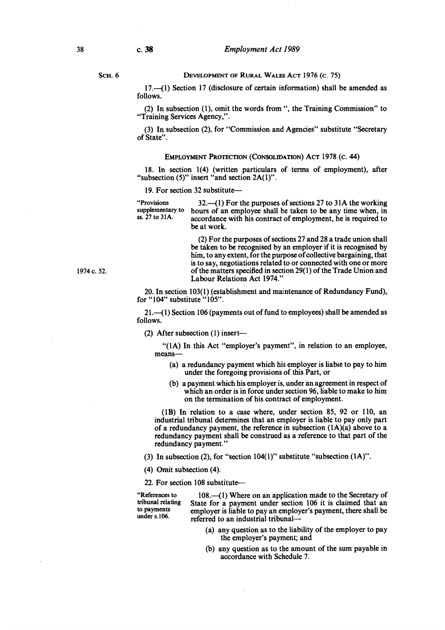#### SCH. 6 DEVELOPMENT OF RURAL WALES ACT 1976 (c. 75)

17.—(1) Section 17 (disclosure of certain information) shall be amended as follows.

(2) in subsection (1), omit the words from ", the Training Commission" to "Training Services Agency,".

(3) In subsection (2), for "Commission and Agencies" substitute "Secretary of State".

#### EMPLOYMENT PROTECTION (CONSOLIDATION) ACT 1978 (C. 44)

18. in section 1(4) (written particulars of terms of employment), after "subsection (5)" insert "and section 2A(1)".

19. For section 32 substitute—

"Provisions  $32$ .—(1) For the purposes of sections 27 to 31A the working supplementary to hours of an employee shall be taken to be any time when in supplementary to hours of an employee shall be taken to be any time when, in<br>ss. 27 to 31A. accordance with his contract of employment he is required to accordance with his contract of employment, he is required to be at work.

(2) For the purposes of sections 27 and 28 a trade union shall be taken to be recognised by an employer if it is recognised by him, to any extent, for the purpose of collective bargaining, that is to say, negotiations related to or connected with one or more 1974 c. 52. of the matters specified in section 29(1) of the Trade Union and Labour Relations Act 1974."

> 20. In section 103(1) (establishment and maintenance of Redundancy Fund), for "104" substitute "105".

> 21 .—(l) Section 106 (payments out of fund to employees) shall be amended as follows.

(2) After subsection (1) insert—

"(lA) In this Act "employer's payment", in relation to an employee, means—

- (a) a redundancy payment which his employer is liabie to pay to him under the foregoing provisions of this Part, or
- (b) a payment which his employer is, under an agreement in respect of which an order is in force under section 96, liable to make to him on the termination of his contract of employment.

(1B) In relation to a case where, under section 85, 92 or 110, an industrial tribunal determines that an employer is liable to pay only part of a redundancy payment, the reference in subsection (IA)(a) above to a redundancy payment shall be construed as a reference to that part of the redundancy payment."

(3) In subsection (2), for "section 104(1)" substitute "subsection (1A)".

(4) Omit subsection (4).

22. For section 108 substitute—

"References to 108.—(l) Where on an application made to the Secretary of tribunal relating State for a payment under section 106 it is claimed that an to payments employer is liable to pay an employer's payment there shall be to payments employer is liable to pay an employer's payment, there shall be under s.106. referred to an industrial tribunal—

- (a) any question as to the liability of the employer to pay the employer's payment; and
- (b) any question as to the amount of the sum payable in accordance with Schedule 7.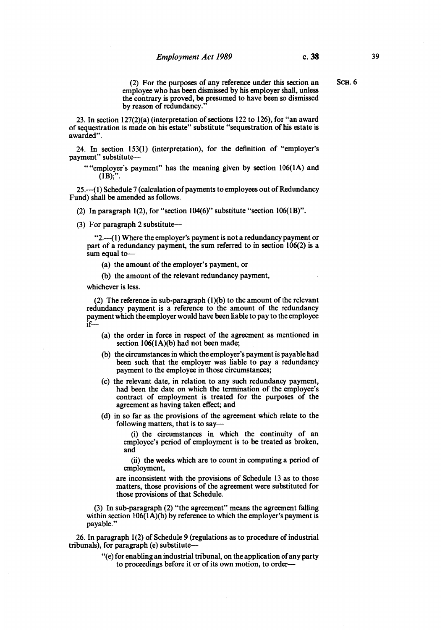(2) For the purposes of any reference under this section an SCH.  $6$ employee who has been dismissed by his employer shall, unless the contrary is proved, be presumed to have been so dismissed by reason of redundancy."

23. In section  $127(2)(a)$  (interpretation of sections 122 to 126), for "an award of sequestration is made on his estate" substitute "sequestration of his estate is awarded".

24. In section 153(1) (interpretation), for the definition of "employer's payment" substitute—

""employer's payment" has the meaning given by section 106(1A) and  $(\overline{1}B)$ ;".

25.—(1) Schedule 7 (calculation of payments to employees out of Redundancy Fund) shall be amended as follows.

(2) In paragraph 1(2), for "section  $104(6)$ " substitute "section  $106(1B)$ ".

(3) For paragraph 2 substitute—

"2.—(l) Where the employer's payment is not a redundancy payment or part of a redundancy payment, the sum referred to in section 106(2) is a sum equal to—

(a) the amount of the employer's payment, or

(b) the amount of the relevant redundancy payment,

whichever is less.

(2) The reference in sub-paragraph (1)(b) to the amount of the relevant redundancy payment is a reference to the amount of the redundancy payment which the employer would have been liable to pay to the employee if—

- (a) the order in force in respect of the agreement as mentioned in section 106(1A)(b) had not been made;
- (b) the circumstances in which the employer's payment is payable had been such that the employer was liable to pay a redundancy payment to the employee in those circumstances;
- (c) the relevant date, in relation to any such redundancy payment, had been the date on which the termination of the employee's contract of employment is treated for the purposes of the agreement as having taken effect; and
- (d) in so far as the provisions of the agreement which relate to the following matters, that is to say—

(i) the circumstances in which the continuity of an employee's period of employment is to be treated as broken, and

(ii) the weeks which are to count in computing a period of employment,

are inconsistent with the provisions of Schedule 13 as to those matters, those provisions of the agreement were substituted for those provisions of that Schedule.

(3) In sub-paragraph (2) "the agreement" means the agreement falling within section  $106(1\text{A})(b)$  by reference to which the employer's payment is payable."

26. In paragraph 1(2) of Schedule 9 (regulations as to procedure of industrial tribunals), for paragraph (e) substitute—

> "(e) for enabling an industrial tribunal, on the application of any party to proceedings before it or of its own motion, to order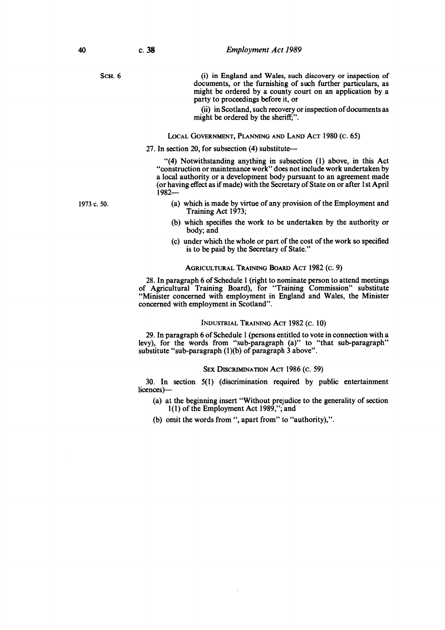SCH. 6 (i) in England and Wales, such discovery or inspection of documents, or the furnishing of such further particulars, as might be ordered by a county court on an application by a party to proceedings before it, or

> (ii) in Scotland, such recovery or inspection of documents as might be ordered by the sheriff;".

#### LOCAL GOVERNMENT, PLANNING AND LAND ACT 1980 (C. 65)

27. In section 20, for subsection (4) substitute—

"(4) Notwithstanding anything in subsection (1) above, in this Act "construction or maintenance work" does not include work undertaken by a local authority or a development body pursuant to an agreement made (or having effect as if made) with the Secretary of State on or after 1st April 1982—

- <sup>1973</sup>c. 50. (a) which is made by virtue of any provision of the Employment and Training Act 1973;
	- (b) which specifies the work to be undertaken by the authority or body; and
	- (c) under which the whole or part of the cost of the work so specified is to be paid by the Secretary of State."

#### AGRICULTURAL TRAINING BOARD ACT 1982 (C. 9)

28. In paragraph 6 of Schedule I (right to nominate person to attend meetings of Agricultural Training Board), for "Training Commission" substitute "Minister concerned with employment in England and Wales, the Minister concerned with employment in Scotland".

#### INDUSTRIAL TRAINING ACT 1982 (C. 10)

29. In paragraph 6 of Schedule I (persons entitled to vote in connection with a levy), for the words from "sub-paragraph (a)" to "that sub-paragraph" substitute "sub-paragraph (1)(b) of paragraph 3 above".

#### SEX DISCRIMINATION ACT 1986 (C. 59)

30. In section 5(1) (discrimination required by public entertainment licences)—

- (a) at the beginning insert "Without prejudice to the generality of section 1(1) of the Employment Act 1989,"; and
- (b) omit the words from ", apart from" to "authority),".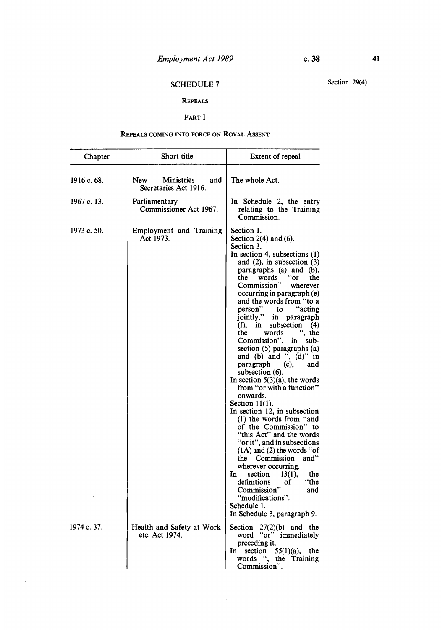## SCHEDULE 7 Section 29(4).

#### REPEALS

## PART I

## REPEALS COMING INTO FORCE ON ROYAL ASSENT

| Chapter     | Short title                                                     | Extent of repeal                                                                                                                                                                                                                                                                                                                                                                                                                                                                                                                                                                                                                                                                                                                                                                                                                                                                                                                                                                                                                                        |
|-------------|-----------------------------------------------------------------|---------------------------------------------------------------------------------------------------------------------------------------------------------------------------------------------------------------------------------------------------------------------------------------------------------------------------------------------------------------------------------------------------------------------------------------------------------------------------------------------------------------------------------------------------------------------------------------------------------------------------------------------------------------------------------------------------------------------------------------------------------------------------------------------------------------------------------------------------------------------------------------------------------------------------------------------------------------------------------------------------------------------------------------------------------|
| 1916 c. 68. | <b>New</b><br><b>Ministries</b><br>and<br>Secretaries Act 1916. | The whole Act.                                                                                                                                                                                                                                                                                                                                                                                                                                                                                                                                                                                                                                                                                                                                                                                                                                                                                                                                                                                                                                          |
| 1967 c. 13. | Parliamentary<br>Commissioner Act 1967.                         | In Schedule 2, the entry<br>relating to the Training<br>Commission.                                                                                                                                                                                                                                                                                                                                                                                                                                                                                                                                                                                                                                                                                                                                                                                                                                                                                                                                                                                     |
| 1973 c. 50. | <b>Employment and Training</b><br>Act 1973.                     | Section 1.<br>Section $2(4)$ and $(6)$ .<br>Section 3.<br>In section 4, subsections (1)<br>and $(2)$ , in subsection $(3)$<br>paragraphs (a) and (b),<br>"or<br>the<br>the<br>words<br>Commission"<br>wherever<br>occurring in paragraph (e)<br>and the words from "to a<br>"acting<br>person"<br>to<br>jointly," in paragraph<br>$(f)$ ,<br>subsection<br>$\mathbf{in}$<br>(4)<br>", the<br>the<br>words<br>Commission",<br>sub-<br>$\mathbf{m}$<br>section $(5)$ paragraphs $(a)$<br>and (b) and ", (d)" in<br>paragraph<br>(c),<br>and<br>subsection (6).<br>In section $5(3)(a)$ , the words<br>from "or with a function"<br>onwards.<br>Section $11(1)$ .<br>In section 12, in subsection<br>(1) the words from "and<br>of the Commission" to<br>"this Act" and the words<br>"or it", and in subsections<br>$(1A)$ and $(2)$ the words "of<br>the Commission<br>and"<br>wherever occurring.<br>In<br>section<br>13(1),<br>the<br>definitions<br>"the<br>of<br>Commission"<br>and<br>"modifications".<br>Schedule 1.<br>In Schedule 3, paragraph 9. |
| 1974 c. 37. | Health and Safety at Work<br>etc. Act 1974.                     | Section<br>$27(2)(b)$ and the<br>"or" immediately<br>word<br>preceding it.<br>In<br>section<br>$55(1)(a)$ ,<br>the<br>words ", the Training<br>Commission".                                                                                                                                                                                                                                                                                                                                                                                                                                                                                                                                                                                                                                                                                                                                                                                                                                                                                             |

 $\sim$ 

 $\sim$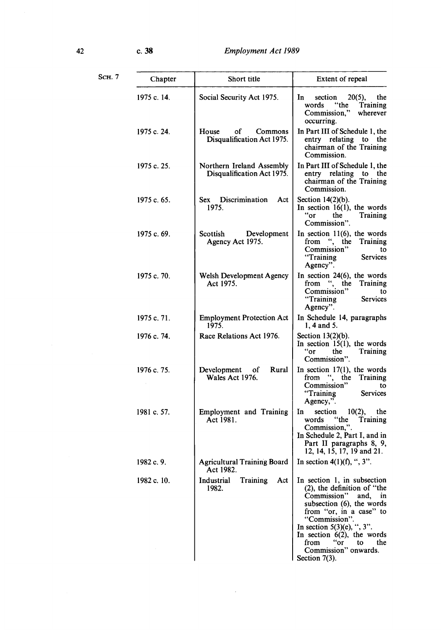| SCH. 7 | Chapter     | Short title                                             | Extent of repeal                                                                                                                                                                                                                                                                                             |
|--------|-------------|---------------------------------------------------------|--------------------------------------------------------------------------------------------------------------------------------------------------------------------------------------------------------------------------------------------------------------------------------------------------------------|
|        | 1975 c. 14. | Social Security Act 1975.                               | $20(5)$ ,<br>In<br>section<br>the<br>"the<br>Training<br>words<br>Commission,"<br>wherever<br>occurring.                                                                                                                                                                                                     |
|        | 1975 c. 24. | of<br>House<br>Commons<br>Disqualification Act 1975.    | In Part III of Schedule 1, the<br>entry relating to the<br>chairman of the Training<br>Commission.                                                                                                                                                                                                           |
|        | 1975 c. 25. | Northern Ireland Assembly<br>Disqualification Act 1975. | In Part III of Schedule 1, the<br>entry relating to the<br>chairman of the Training<br>Commission.                                                                                                                                                                                                           |
|        | 1975 c. 65. | Sex Discrimination<br>Act<br>1975.                      | Section $14(2)(b)$ .<br>In section $16(1)$ , the words<br>"or"<br>Training<br>the<br>Commission".                                                                                                                                                                                                            |
|        | 1975 c. 69. | Scottish<br>Development<br>Agency Act 1975.             | In section $11(6)$ , the words<br>from ", the<br>Training<br>Commission"<br>to<br>"Training<br><b>Services</b><br>Agency".                                                                                                                                                                                   |
|        | 1975 c. 70. | Welsh Development Agency<br>Act 1975.                   | In section $24(6)$ , the words<br>the<br>Training<br>from<br>Commission"<br>to<br>"Training<br><b>Services</b><br>Agency".                                                                                                                                                                                   |
|        | 1975 c. 71. | <b>Employment Protection Act</b><br>1975.               | In Schedule 14, paragraphs<br>1, 4 and 5.                                                                                                                                                                                                                                                                    |
|        | 1976 c. 74. | Race Relations Act 1976.                                | Section $13(2)(b)$ .<br>In section $15(1)$ , the words<br>"or"<br>Training<br>the<br>Commission".                                                                                                                                                                                                            |
|        | 1976 c. 75. | Development<br>Rural<br>of<br>Wales Act 1976.           | In section $17(1)$ , the words<br>from ", the<br>Training<br>Commission"<br>to.<br>"Training<br><b>Services</b><br>Agency,".                                                                                                                                                                                 |
|        | 1981 c. 57. | Employment and Training<br>Act 1981.                    | section<br>10(2),<br>In<br>the<br>$"$ the<br>words<br>Training<br>Commission,".<br>In Schedule 2, Part I, and in<br>Part II paragraphs 8, 9,<br>12, 14, 15, 17, 19 and 21.                                                                                                                                   |
|        | 1982 c. 9.  | <b>Agricultural Training Board</b><br>Act 1982.         | In section $4(1)(f)$ , ", 3".                                                                                                                                                                                                                                                                                |
|        | 1982 c. 10. | Industrial<br><b>Training</b><br>Act<br>1982.           | In section 1, in subsection<br>$(2)$ , the definition of "the<br>Commission"<br>and,<br>m<br>subsection (6), the words<br>from "or, in a case" to<br>"Commission".<br>In section $5(3)(e)$ , ", 3".<br>In section $6(2)$ , the words<br>"or<br>from<br>the<br>to<br>Commission" onwards.<br>Section $7(3)$ . |

 $\sim 10^{-1}$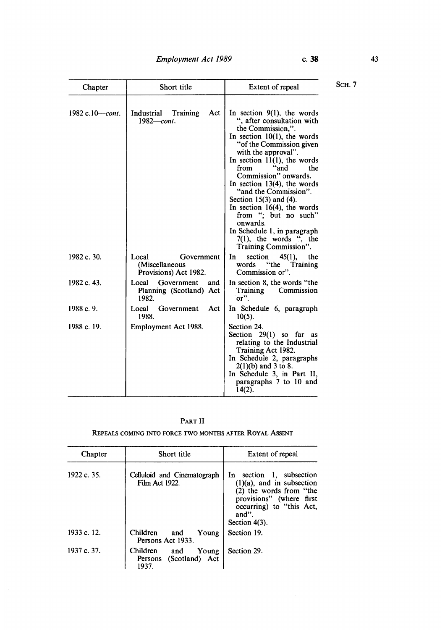| Chapter                  | Short title                                                    | Extent of repeal                                                                                                                                                                                                                                                                                                                                                                                                                                                                                                     | SCH.7 |
|--------------------------|----------------------------------------------------------------|----------------------------------------------------------------------------------------------------------------------------------------------------------------------------------------------------------------------------------------------------------------------------------------------------------------------------------------------------------------------------------------------------------------------------------------------------------------------------------------------------------------------|-------|
| 1982 c.10— <i>cont</i> . | Industrial<br>Training<br>Act<br>$1982 - cont.$                | In section $9(1)$ , the words<br>", after consultation with<br>the Commission,".<br>In section $10(1)$ , the words<br>"of the Commission given"<br>with the approval".<br>In section $11(1)$ , the words<br>"and<br>from<br>the<br>Commission" onwards.<br>In section $13(4)$ , the words<br>"and the Commission".<br>Section $15(3)$ and $(4)$ .<br>In section $16(4)$ , the words<br>from "; but no such"<br>onwards.<br>In Schedule 1, in paragraph<br>7(1), the words $\dddot{ }$ , the<br>Training Commission". |       |
| 1982 c. 30.              | Government<br>Local<br>(Miscellaneous<br>Provisions) Act 1982. | section<br>$45(1)$ ,<br>In<br>the<br>"the<br>Training<br>words<br>Commission or".                                                                                                                                                                                                                                                                                                                                                                                                                                    |       |
| 1982 c. 43.              | Government<br>Local<br>and<br>Planning (Scotland) Act<br>1982. | In section 8, the words "the<br>Training Commission<br>$or$ ".                                                                                                                                                                                                                                                                                                                                                                                                                                                       |       |
| 1988 c. 9.               | Government<br>Local<br>Act<br>1988.                            | In Schedule 6, paragraph<br>$10(5)$ .                                                                                                                                                                                                                                                                                                                                                                                                                                                                                |       |
| 1988 c. 19.              | Employment Act 1988.                                           | Section 24.<br>Section $29(1)$ so far as<br>relating to the Industrial<br>Training Act 1982.<br>In Schedule 2, paragraphs<br>$2(1)(b)$ and 3 to 8.<br>In Schedule 3, in Part II,<br>paragraphs 7 to 10 and<br>$14(2)$ .                                                                                                                                                                                                                                                                                              |       |

## REPEALS COMING INTO FORCE TWO MONTHS AFTER ROYAL ASSENT

| Chapter     | Short title                                                 | Extent of repeal                                                                                                                                                         |
|-------------|-------------------------------------------------------------|--------------------------------------------------------------------------------------------------------------------------------------------------------------------------|
| 1922 c. 35. | Celluloid and Cinematograph<br><b>Film Act 1922.</b>        | In section 1, subsection<br>$(1)(a)$ , and in subsection<br>(2) the words from "the<br>provisions" (where first<br>occurring) to "this Act,<br>and".<br>Section $4(3)$ . |
| 1933 c. 12. | Children<br>Young<br>and<br>Persons Act 1933.               | Section 19.                                                                                                                                                              |
| 1937 c. 37. | Children<br>Young<br>and<br>Persons (Scotland) Act<br>1937. | Section 29.                                                                                                                                                              |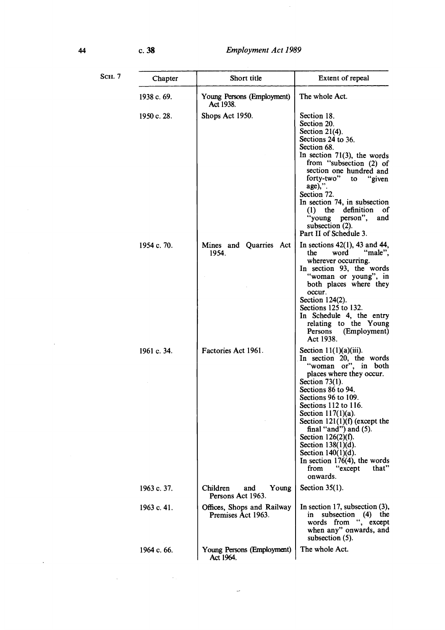$\frac{1}{2}$ 

| Sсн. 7 | Chapter     | Short title                                      | Extent of repeal                                                                                                                                                                                                                                                                                                                                                                                                                              |
|--------|-------------|--------------------------------------------------|-----------------------------------------------------------------------------------------------------------------------------------------------------------------------------------------------------------------------------------------------------------------------------------------------------------------------------------------------------------------------------------------------------------------------------------------------|
|        | 1938 c. 69. | Young Persons (Employment)<br>Act 1938.          | The whole Act.                                                                                                                                                                                                                                                                                                                                                                                                                                |
|        | 1950 c. 28. | Shops Act 1950.                                  | Section 18.<br>Section 20.<br>Section $21(4)$ .<br>Sections 24 to 36.<br>Section 68.<br>In section $71(3)$ , the words<br>from "subsection (2) of<br>section one hundred and<br>forty-two"<br>"given"<br>to<br>age),".<br>Section 72.<br>In section 74, in subsection<br>(1) the definition<br>οf<br>"young person",<br>and<br>subsection (2).<br>Part II of Schedule 3.                                                                      |
|        | 1954 c. 70. | Mines and Quarries Act<br>1954.                  | In sections $42(1)$ , 43 and $44$ ,<br>"male",<br>word<br>the<br>wherever occurring.<br>In section 93, the words<br>"woman or young", in<br>both places where they<br>occur.<br>Section 124(2).<br>Sections 125 to 132.<br>In Schedule 4, the entry<br>relating to the Young<br>Persons<br>(Employment)<br>Act 1938.                                                                                                                          |
|        | 1961 c. 34. | Factories Act 1961.                              | Section $11(1)(a)(iii)$ .<br>In section 20, the words<br>"woman or", in both<br>places where they occur.<br>Section $73(1)$ .<br>Sections 86 to 94.<br>Sections 96 to 109.<br>Sections 112 to 116.<br>Section $117(1)(a)$ .<br>Section $121(1)(f)$ (except the<br>final "and") and $(5)$ .<br>Section 126(2)(f).<br>Section $138(1)(d)$ .<br>Section $140(1)(d)$ .<br>In section $176(4)$ , the words<br>"except<br>that"<br>from<br>onwards. |
|        | 1963 c. 37. | Children<br>Young<br>and<br>Persons Act 1963.    | Section $35(1)$ .                                                                                                                                                                                                                                                                                                                                                                                                                             |
|        | 1963 c. 41. | Offices, Shops and Railway<br>Premises Act 1963. | In section 17, subsection $(3)$ ,<br>subsection<br>$(4)$ the<br>in<br>words from<br>except<br>when any" onwards, and<br>subsection (5).                                                                                                                                                                                                                                                                                                       |
|        | 1964 c. 66. | Young Persons (Employment)<br>Act 1964.          | The whole Act.                                                                                                                                                                                                                                                                                                                                                                                                                                |

 $\hat{\mathcal{L}}$ 

 $\overline{\phantom{a}}$ 

 $\sim 10^{-1}$ 

 $\sim$ 

 $\mathcal{L}_{\mathcal{A}}$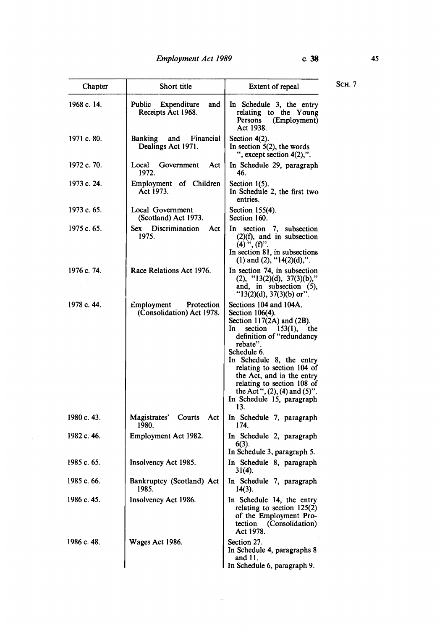## Employment Act 1989 c. 38 c. 38 c. 38 c. 38 c. 38 c. 38 c. 38 c. 38 c. 38 c. 38 c. 38 c. 38 c. 38 c. 38 c. 38 c. 38 c. 38 c. 38 c. 38 c. 38 c. 38 c. 38 c. 38 c. 38 c. 38 c. 38 c. 38 c. 38 c. 38 c. 38 c. 38 c. 38 c. 38 c. 3

| Chapter     | Short title                                           | Extent of repeal                                                                                                                                                                                                                                                                                                                                                    | SCH. 7 |
|-------------|-------------------------------------------------------|---------------------------------------------------------------------------------------------------------------------------------------------------------------------------------------------------------------------------------------------------------------------------------------------------------------------------------------------------------------------|--------|
| 1968 c. 14. | Public<br>Expenditure<br>and<br>Receipts Act 1968.    | In Schedule 3, the entry<br>relating to the Young<br>(Employment)<br><b>Persons</b><br>Act 1938.                                                                                                                                                                                                                                                                    |        |
| 1971 c. 80. | Banking<br>and Financial<br>Dealings Act 1971.        | Section $4(2)$ .<br>In section $5(2)$ , the words<br>", except section $4(2)$ ,".                                                                                                                                                                                                                                                                                   |        |
| 1972 c. 70. | Local<br>Government<br>Act<br>1972.                   | In Schedule 29, paragraph<br>46.                                                                                                                                                                                                                                                                                                                                    |        |
| 1973 c. 24. | Employment of Children<br>Act 1973.                   | Section $1(5)$ .<br>In Schedule 2, the first two<br>entries.                                                                                                                                                                                                                                                                                                        |        |
| 1973 c. 65. | Local Government<br>(Scotland) Act 1973.              | Section 155(4).<br>Section 160.                                                                                                                                                                                                                                                                                                                                     |        |
| 1975 c. 65. | Sex Discrimination<br>Act<br>1975.                    | In section 7, subsection<br>$(2)(f)$ , and in subsection<br>$(4)$ ", $(f)$ ".<br>In section 81, in subsections<br>(1) and (2), "14(2)(d),".                                                                                                                                                                                                                         |        |
| 1976 c. 74. | Race Relations Act 1976.                              | In section 74, in subsection<br>$(2)$ , "13 $(2)(d)$ , 37 $(3)(b)$ ,"<br>and, in subsection (5),<br>" $13(2)(d)$ , $37(3)(b)$ or".                                                                                                                                                                                                                                  |        |
| 1978 c. 44. | Employment<br>Protection<br>(Consolidation) Act 1978. | Sections 104 and 104A.<br>Section 106(4).<br>Section $117(2A)$ and $(2B)$ .<br>$153(1)$ ,<br>In<br>section<br>the<br>definition of "redundancy<br>rebate".<br>Schedule 6.<br>In Schedule 8, the entry<br>relating to section 104 of<br>the Act, and in the entry<br>relating to section 108 of<br>the Act ", (2), (4) and (5)".<br>In Schedule 15, paragraph<br>13. |        |
| 1980 c. 43. | Act<br>Magistrates' Courts<br>1980.                   | In Schedule 7, paragraph<br>174.                                                                                                                                                                                                                                                                                                                                    |        |
| 1982 c. 46. | Employment Act 1982.                                  | In Schedule 2, paragraph<br>$6(3)$ .<br>In Schedule 3, paragraph 5.                                                                                                                                                                                                                                                                                                 |        |
| 1985 c. 65. | Insolvency Act 1985.                                  | In Schedule 8, paragraph<br>$31(4)$ .                                                                                                                                                                                                                                                                                                                               |        |
| 1985 c. 66. | Bankruptcy (Scotland) Act<br>1985.                    | In Schedule 7, paragraph<br>$14(3)$ .                                                                                                                                                                                                                                                                                                                               |        |
| 1986 c. 45. | Insolvency Act 1986.                                  | In Schedule 14, the entry<br>relating to section $125(2)$<br>of the Employment Pro-<br>tection<br>(Consolidation)<br>Act 1978.                                                                                                                                                                                                                                      |        |
| 1986 c. 48. | Wages Act 1986.                                       | Section 27.<br>In Schedule 4, paragraphs 8<br>and 11.<br>In Schedule 6, paragraph 9.                                                                                                                                                                                                                                                                                |        |

 $\mathcal{A}^{\mathcal{A}}$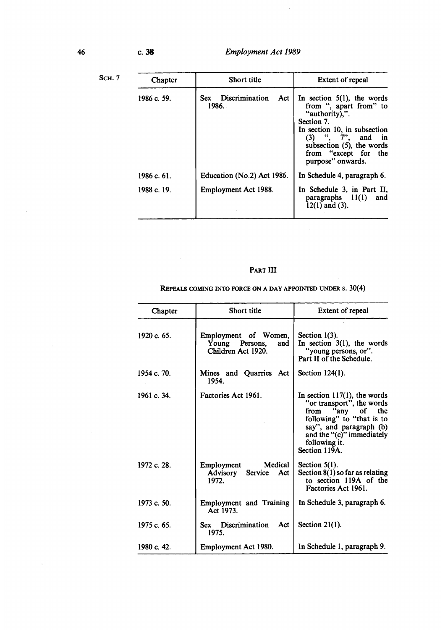| Sсн. 7 | Chapter     | Short title                            | Extent of repeal                                                                                                                                                                                                                |
|--------|-------------|----------------------------------------|---------------------------------------------------------------------------------------------------------------------------------------------------------------------------------------------------------------------------------|
|        | 1986 c. 59. | Discrimination<br>Sex.<br>Act<br>1986. | In section $5(1)$ , the words<br>from ", apart from" to<br>"authority),".<br>Section 7.<br>In section 10, in subsection<br>(3)<br>$7$ ", and<br>in<br>subsection $(5)$ , the words<br>from "except for the<br>purpose" onwards. |
|        | 1986 c. 61. | Education (No.2) Act 1986.             | In Schedule 4, paragraph 6.                                                                                                                                                                                                     |
|        | 1988 c. 19. | Employment Act 1988.                   | In Schedule 3, in Part II,<br>paragraphs $11(1)$<br>and<br>$12(1)$ and $(3)$ .                                                                                                                                                  |

## PART III

 $\hat{\mathcal{A}}$ 

REPEALS COMING INTO FORCE ON A DAY APPOINTED UNDER S. 30(4)

| Chapter     | Short title                                                         | Extent of repeal                                                                                                                                                                                                             |
|-------------|---------------------------------------------------------------------|------------------------------------------------------------------------------------------------------------------------------------------------------------------------------------------------------------------------------|
| 1920 c. 65. | Employment of Women,<br>Young Persons,<br>and<br>Children Act 1920. | Section $1(3)$ .<br>In section $3(1)$ , the words<br>"young persons, or".<br>Part II of the Schedule.                                                                                                                        |
| 1954 c. 70. | Mines and Quarries Act<br>1954.                                     | Section $124(1)$ .                                                                                                                                                                                                           |
| 1961 c. 34. | Factories Act 1961.                                                 | In section $117(1)$ , the words<br>"or transport", the words<br>$\mathbf{a}$ any<br>of<br>the<br>from<br>following" to "that is to<br>say", and paragraph (b)<br>and the "(c)" immediately<br>following it.<br>Section 119A. |
| 1972 c. 28. | Medical<br>Employment<br>Service Act<br>Advisory<br>1972.           | Section $5(1)$ .<br>Section $8(1)$ so far as relating<br>to section 119A of the<br>Factories Act 1961.                                                                                                                       |
| 1973 c. 50. | <b>Employment and Training</b><br>Act 1973.                         | In Schedule 3, paragraph 6.                                                                                                                                                                                                  |
| 1975 c. 65. | Sex Discrimination<br>Act<br>1975.                                  | Section $21(1)$ .                                                                                                                                                                                                            |
| 1980 c. 42. | Employment Act 1980.                                                | In Schedule 1, paragraph 9.                                                                                                                                                                                                  |

 $\hat{\mathcal{A}}$ 

 $\mathcal{L}$ 

 $\ddot{\phantom{a}}$ 

 $\sim$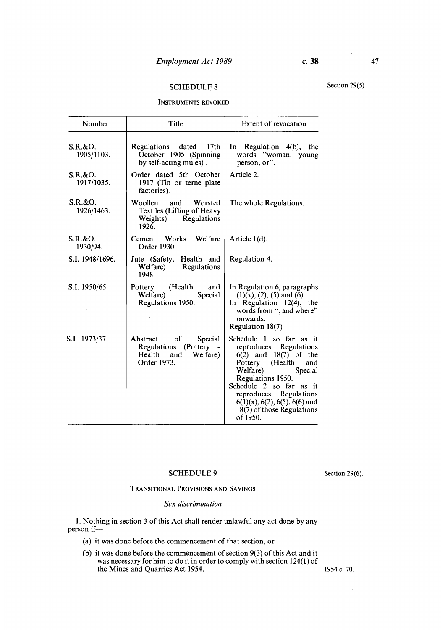## SCHEDULE 8 Section 29(5).

#### INSTRUMENTS REVOKED

| Number                   | Title                                                                                                    | Extent of revocation                                                                                                                                                                                                                                                                            |
|--------------------------|----------------------------------------------------------------------------------------------------------|-------------------------------------------------------------------------------------------------------------------------------------------------------------------------------------------------------------------------------------------------------------------------------------------------|
| $S.R.\&O.$<br>1905/1103. | Regulations dated 17th<br>October 1905 (Spinning<br>by self-acting mules).                               | In Regulation 4(b), the<br>words "woman, young<br>person, or".                                                                                                                                                                                                                                  |
| S.R.d.<br>1917/1035.     | Order dated 5th October<br>1917 (Tin or terne plate)<br>factories).                                      | Article 2.                                                                                                                                                                                                                                                                                      |
| S.R.d.<br>1926/1463.     | Woollen<br>and Worsted<br>Textiles (Lifting of Heavy<br>Weights) Regulations<br>1926.                    | The whole Regulations.                                                                                                                                                                                                                                                                          |
| $S.R.\&O.$<br>.1930/94.  | Cement Works Welfare<br>Order 1930.                                                                      | Article $1(d)$ .                                                                                                                                                                                                                                                                                |
| S.I. 1948/1696.          | Jute (Safety, Health and<br>Welfare) Regulations<br>1948.                                                | Regulation 4.                                                                                                                                                                                                                                                                                   |
| S.I. 1950/65.            | (Health<br>and<br>Pottery<br>Special<br>Welfare)<br>Regulations 1950.                                    | In Regulation 6, paragraphs<br>$(1)(x)$ , $(2)$ , $(5)$ and $(6)$ .<br>Regulation $12(4)$ , the<br>$\ln$<br>words from "; and where"<br>onwards.<br>Regulation 18(7).                                                                                                                           |
| S.I. 1973/37.            | of<br>Abstract<br>Special<br><b>Regulations</b><br>(Pottery)<br>Welfare)<br>Health<br>and<br>Order 1973. | Schedule 1 so far as it<br>reproduces Regulations<br>$6(2)$ and $18(7)$ of the<br>Pottery (Health<br>and<br>Welfare)<br>Special<br>Regulations 1950.<br>Schedule 2 so far as it<br>reproduces Regulations<br>$6(1)(x)$ , $6(2)$ , $6(5)$ , $6(6)$ and<br>18(7) of those Regulations<br>of 1950. |

#### SCHEDULE 9 Section 29(6).

TRANSITIONAL PROVISIONS AND SAVINGS

Sex discrimination

1. Nothing in section 3 of this Act shall render unlawful any act done by any person if—

- (a) it was done before the commencement of that section, or
- (b) it was done before the commencement of section 9(3) of this Act and it was necessary for him to do it in order to comply with section 124(1) of the Mines and Quarries Act 1954. 1954 c. 70.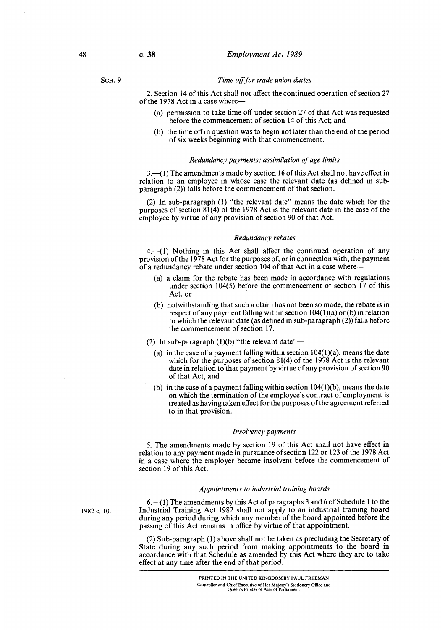#### SCH. 9 Time off for trade union duties

2. Section 14 of this Act shall not affect the continued operation of section 27 of the 1978 Act in a case where—

- (a) permission to take time off under section 27 of that Act was requested before the commencement of section 14 of this Act; and
- (b) the time off in question was to begin not later than the end of the period of six weeks beginning with that commencement.

#### Redundancy payments: assimilation of age limits

3.—( 1) The amendments made by section 16 of this Act shall not have effect in relation to an employee in whose case the relevant date (as defined in subparagraph (2)) falls before the commencement of that section.

(2) In sub-paragraph (1) "the relevant date" means the date which for the purposes of section  $81(4)$  of the 1978 Act is the relevant date in the case of the employee by virtue of any provision of section 90 of that Act.

#### Redundancy rebates

4.—(1) Nothing in this Act shall affect the continued operation of any provision of the 1978 Act for the purposes of, or in connection with, the payment of a redundancy rebate under section 104 of that Act in a case where—

- (a) a claim for the rebate has been made in accordance with regulations under section 104(5) before the commencement of section 17 of this Act, or
- (b) notwithstanding that such a claim has not been so made, the rebate is in respect of any payment falling within section 104(1)(a) or (b) in relation to which the relevant date (as defined in sub-paragraph (2)) falls before the commencement of section 17.
- (2) In sub-paragraph  $(1)(b)$  "the relevant date"—
	- (a) in the case of a payment falling within section  $104(1)(a)$ , means the date which for the purposes of section 81(4) of the 1978 Act is the relevant date in relation to that payment by virtue of any provision of section 90 of that Act, and
	- (b) in the case of a payment falling within section  $104(1)(b)$ , means the date on which the termination of the employee's contract of employment is treated as having taken effect for the purposes of the agreement referred to in that provision.

#### Insolvency payments

5. The amendments made by section 19 of this Act shall not have effect in relation to any payment made in pursuance of section 122 or 123 of the 1978 Act in a case where the employer became insolvent before the commencement of section 19 of this Act.

#### Appointments to industrial training boards

 $6.$   $-$ (1) The amendments by this Act of paragraphs 3 and 6 of Schedule 1 to the <sup>1982</sup>c. 10. Industrial Training Act 1982 shall not apply to an industrial training board during any period during which any member of the board appointed before the passing of this Act remains in office by virtue of that appointment.

> (2) Sub-paragraph (1) above shall not be taken as precluding the Secretary of State during any such period from making appointments to the board in accordance with that Schedule as amended by this Act where they are to take effect at any time after the end of that period.

> > PRINTED IN THE UNITED KINGDOM BY PAUL FREEMAN Controller and Chief Executive of Her Majesty's Stationery Office and<br>Queen's Printer of Acts of Parliament.